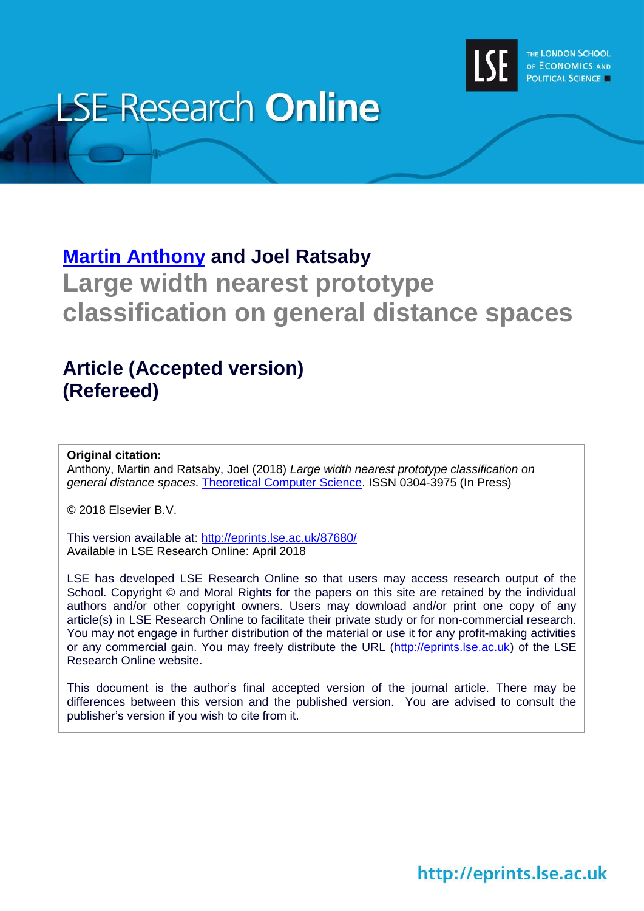

# **LSE Research Online**

# **[Martin Anthony](http://www.lse.ac.uk/researchAndExpertise/Experts/profile.aspx?KeyValue=m.anthony@lse.ac.uk) and Joel Ratsaby Large width nearest prototype classification on general distance spaces**

# **Article (Accepted version) (Refereed)**

### **Original citation:**

Anthony, Martin and Ratsaby, Joel (2018) *Large width nearest prototype classification on general distance spaces*. [Theoretical Computer Science.](https://www.sciencedirect.com/journal/theoretical-computer-science) ISSN 0304-3975 (In Press)

© 2018 Elsevier B.V.

This version available at:<http://eprints.lse.ac.uk/87680/> Available in LSE Research Online: April 2018

LSE has developed LSE Research Online so that users may access research output of the School. Copyright © and Moral Rights for the papers on this site are retained by the individual authors and/or other copyright owners. Users may download and/or print one copy of any article(s) in LSE Research Online to facilitate their private study or for non-commercial research. You may not engage in further distribution of the material or use it for any profit-making activities or any commercial gain. You may freely distribute the URL (http://eprints.lse.ac.uk) of the LSE Research Online website.

This document is the author's final accepted version of the journal article. There may be differences between this version and the published version. You are advised to consult the publisher's version if you wish to cite from it.

http://eprints.lse.ac.uk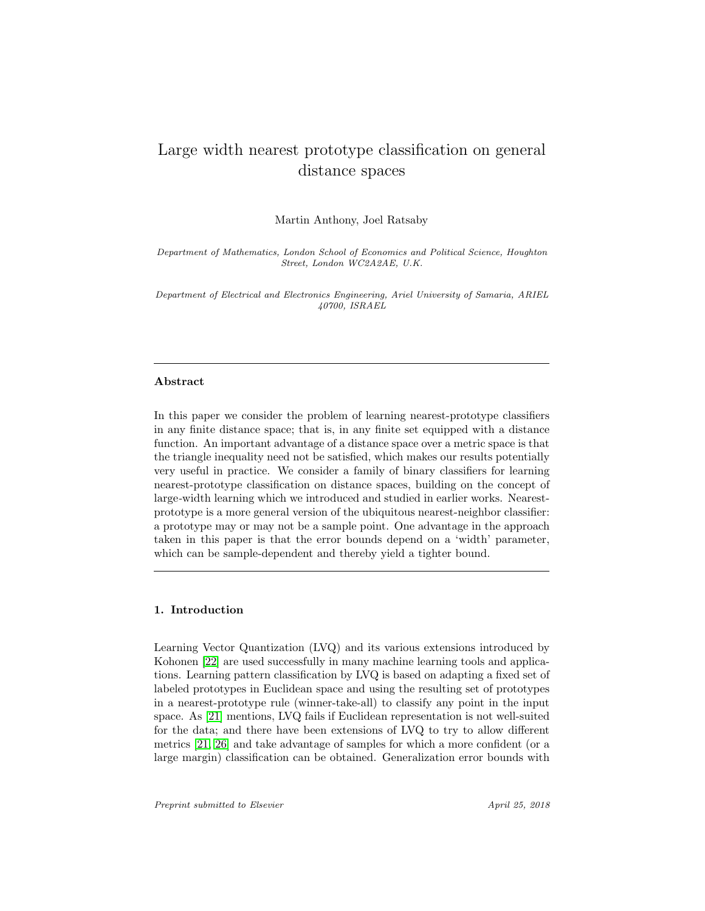## Large width nearest prototype classification on general distance spaces

Martin Anthony, Joel Ratsaby

Department of Mathematics, London School of Economics and Political Science, Houghton Street, London WC2A2AE, U.K.

Department of Electrical and Electronics Engineering, Ariel University of Samaria, ARIEL 40700, ISRAEL

#### Abstract

In this paper we consider the problem of learning nearest-prototype classifiers in any finite distance space; that is, in any finite set equipped with a distance function. An important advantage of a distance space over a metric space is that the triangle inequality need not be satisfied, which makes our results potentially very useful in practice. We consider a family of binary classifiers for learning nearest-prototype classification on distance spaces, building on the concept of large-width learning which we introduced and studied in earlier works. Nearestprototype is a more general version of the ubiquitous nearest-neighbor classifier: a prototype may or may not be a sample point. One advantage in the approach taken in this paper is that the error bounds depend on a 'width' parameter, which can be sample-dependent and thereby yield a tighter bound.

#### 1. Introduction

Learning Vector Quantization (LVQ) and its various extensions introduced by Kohonen [\[22\]](#page-24-0) are used successfully in many machine learning tools and applications. Learning pattern classification by LVQ is based on adapting a fixed set of labeled prototypes in Euclidean space and using the resulting set of prototypes in a nearest-prototype rule (winner-take-all) to classify any point in the input space. As [\[21\]](#page-24-1) mentions, LVQ fails if Euclidean representation is not well-suited for the data; and there have been extensions of LVQ to try to allow different metrics [\[21,](#page-24-1) [26\]](#page-25-0) and take advantage of samples for which a more confident (or a large margin) classification can be obtained. Generalization error bounds with

Preprint submitted to Elsevier April 25, 2018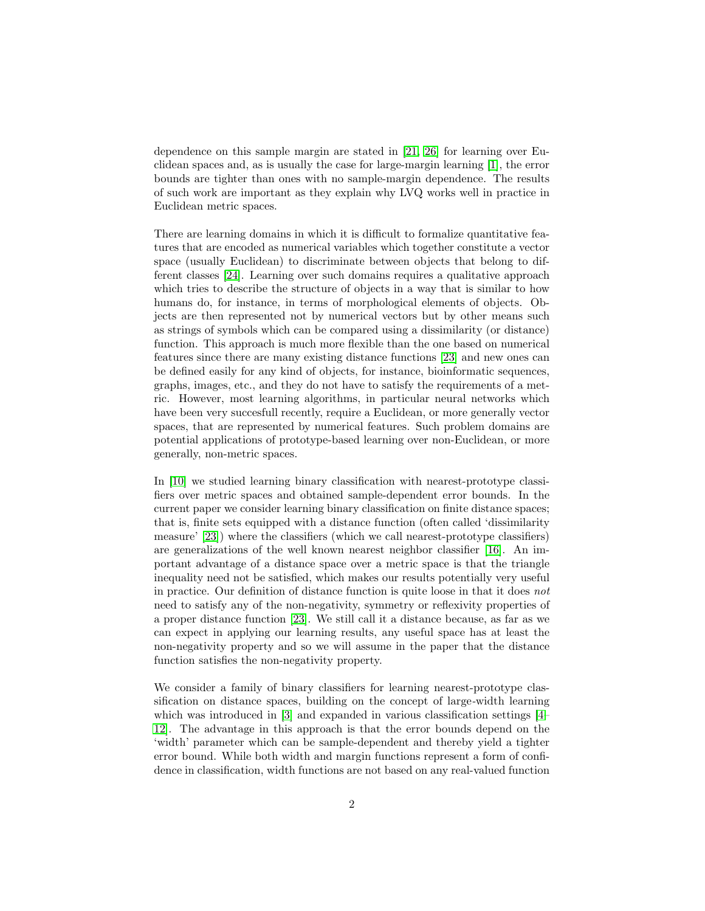dependence on this sample margin are stated in [\[21,](#page-24-1) [26\]](#page-25-0) for learning over Euclidean spaces and, as is usually the case for large-margin learning [\[1\]](#page-23-0), the error bounds are tighter than ones with no sample-margin dependence. The results of such work are important as they explain why LVQ works well in practice in Euclidean metric spaces.

There are learning domains in which it is difficult to formalize quantitative features that are encoded as numerical variables which together constitute a vector space (usually Euclidean) to discriminate between objects that belong to different classes [\[24\]](#page-25-1). Learning over such domains requires a qualitative approach which tries to describe the structure of objects in a way that is similar to how humans do, for instance, in terms of morphological elements of objects. Objects are then represented not by numerical vectors but by other means such as strings of symbols which can be compared using a dissimilarity (or distance) function. This approach is much more flexible than the one based on numerical features since there are many existing distance functions [\[23\]](#page-24-2) and new ones can be defined easily for any kind of objects, for instance, bioinformatic sequences, graphs, images, etc., and they do not have to satisfy the requirements of a metric. However, most learning algorithms, in particular neural networks which have been very succesfull recently, require a Euclidean, or more generally vector spaces, that are represented by numerical features. Such problem domains are potential applications of prototype-based learning over non-Euclidean, or more generally, non-metric spaces.

In [\[10\]](#page-24-3) we studied learning binary classification with nearest-prototype classifiers over metric spaces and obtained sample-dependent error bounds. In the current paper we consider learning binary classification on finite distance spaces; that is, finite sets equipped with a distance function (often called 'dissimilarity measure' [\[23\]](#page-24-2)) where the classifiers (which we call nearest-prototype classifiers) are generalizations of the well known nearest neighbor classifier [\[16\]](#page-24-4). An important advantage of a distance space over a metric space is that the triangle inequality need not be satisfied, which makes our results potentially very useful in practice. Our definition of distance function is quite loose in that it does not need to satisfy any of the non-negativity, symmetry or reflexivity properties of a proper distance function [\[23\]](#page-24-2). We still call it a distance because, as far as we can expect in applying our learning results, any useful space has at least the non-negativity property and so we will assume in the paper that the distance function satisfies the non-negativity property.

We consider a family of binary classifiers for learning nearest-prototype classification on distance spaces, building on the concept of large-width learning which was introduced in [\[3\]](#page-23-1) and expanded in various classification settings [\[4–](#page-23-2) [12\]](#page-24-5). The advantage in this approach is that the error bounds depend on the 'width' parameter which can be sample-dependent and thereby yield a tighter error bound. While both width and margin functions represent a form of confidence in classification, width functions are not based on any real-valued function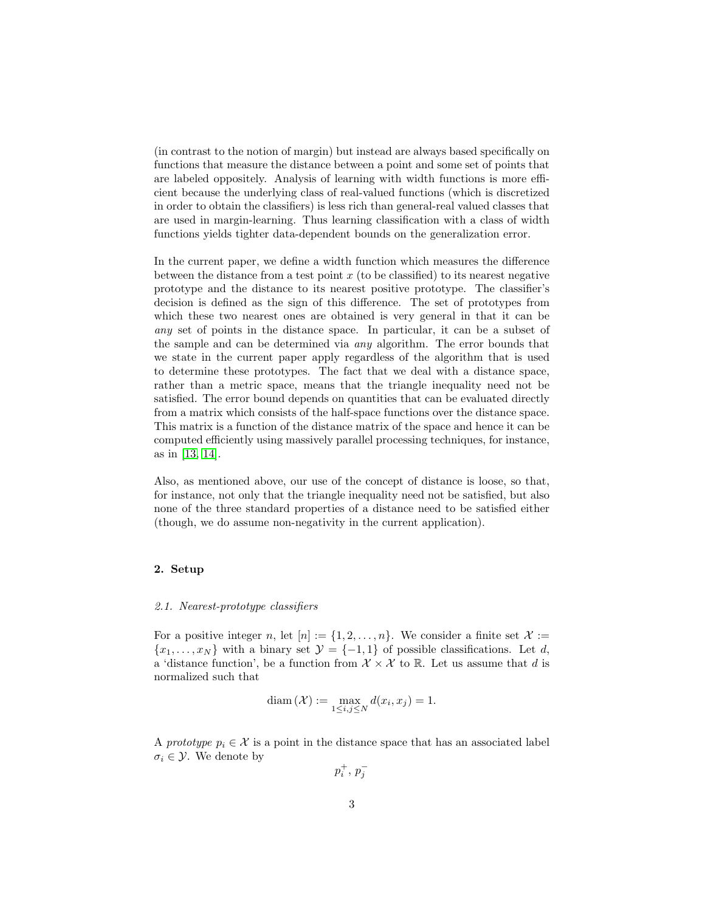(in contrast to the notion of margin) but instead are always based specifically on functions that measure the distance between a point and some set of points that are labeled oppositely. Analysis of learning with width functions is more efficient because the underlying class of real-valued functions (which is discretized in order to obtain the classifiers) is less rich than general-real valued classes that are used in margin-learning. Thus learning classification with a class of width functions yields tighter data-dependent bounds on the generalization error.

In the current paper, we define a width function which measures the difference between the distance from a test point  $x$  (to be classified) to its nearest negative prototype and the distance to its nearest positive prototype. The classifier's decision is defined as the sign of this difference. The set of prototypes from which these two nearest ones are obtained is very general in that it can be any set of points in the distance space. In particular, it can be a subset of the sample and can be determined via any algorithm. The error bounds that we state in the current paper apply regardless of the algorithm that is used to determine these prototypes. The fact that we deal with a distance space, rather than a metric space, means that the triangle inequality need not be satisfied. The error bound depends on quantities that can be evaluated directly from a matrix which consists of the half-space functions over the distance space. This matrix is a function of the distance matrix of the space and hence it can be computed efficiently using massively parallel processing techniques, for instance, as in [\[13,](#page-24-6) [14\]](#page-24-7).

Also, as mentioned above, our use of the concept of distance is loose, so that, for instance, not only that the triangle inequality need not be satisfied, but also none of the three standard properties of a distance need to be satisfied either (though, we do assume non-negativity in the current application).

#### 2. Setup

#### 2.1. Nearest-prototype classifiers

For a positive integer n, let  $[n] := \{1, 2, \ldots, n\}$ . We consider a finite set  $\mathcal{X} :=$  $\{x_1, \ldots, x_N\}$  with a binary set  $\mathcal{Y} = \{-1, 1\}$  of possible classifications. Let d, a 'distance function', be a function from  $\mathcal{X} \times \mathcal{X}$  to  $\mathbb{R}$ . Let us assume that d is normalized such that

$$
diam(\mathcal{X}) := \max_{1 \le i,j \le N} d(x_i, x_j) = 1.
$$

A prototype  $p_i \in \mathcal{X}$  is a point in the distance space that has an associated label  $\sigma_i \in \mathcal{Y}$ . We denote by

 $p_i^+, p_j^-$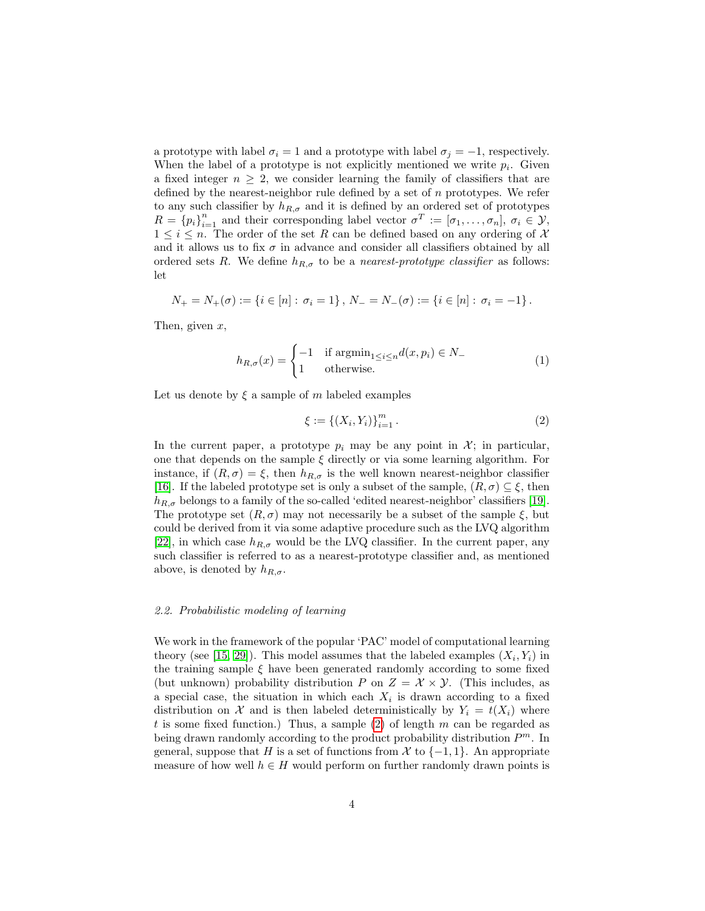a prototype with label  $\sigma_i = 1$  and a prototype with label  $\sigma_j = -1$ , respectively. When the label of a prototype is not explicitly mentioned we write  $p_i$ . Given a fixed integer  $n \geq 2$ , we consider learning the family of classifiers that are defined by the nearest-neighbor rule defined by a set of  $n$  prototypes. We refer to any such classifier by  $h_{R,\sigma}$  and it is defined by an ordered set of prototypes  $R = \{p_i\}_{i=1}^n$  and their corresponding label vector  $\sigma^T := [\sigma_1, \ldots, \sigma_n], \sigma_i \in \mathcal{Y},$  $1 \leq i \leq n$ . The order of the set R can be defined based on any ordering of X and it allows us to fix  $\sigma$  in advance and consider all classifiers obtained by all ordered sets R. We define  $h_{R,\sigma}$  to be a nearest-prototype classifier as follows: let

$$
N_{+} = N_{+}(\sigma) := \{i \in [n] : \sigma_{i} = 1\}, N_{-} = N_{-}(\sigma) := \{i \in [n] : \sigma_{i} = -1\}.
$$

Then, given  $x$ ,

$$
h_{R,\sigma}(x) = \begin{cases} -1 & \text{if } \operatorname{argmin}_{1 \le i \le n} d(x, p_i) \in N_- \\ 1 & \text{otherwise.} \end{cases}
$$
(1)

Let us denote by  $\xi$  a sample of m labeled examples

<span id="page-4-0"></span>
$$
\xi := \{(X_i, Y_i)\}_{i=1}^m.
$$
\n(2)

In the current paper, a prototype  $p_i$  may be any point in  $\mathcal{X}$ ; in particular, one that depends on the sample  $\xi$  directly or via some learning algorithm. For instance, if  $(R, \sigma) = \xi$ , then  $h_{R,\sigma}$  is the well known nearest-neighbor classifier [\[16\]](#page-24-4). If the labeled prototype set is only a subset of the sample,  $(R, \sigma) \subseteq \xi$ , then  $h_{R,\sigma}$  belongs to a family of the so-called 'edited nearest-neighbor' classifiers [\[19\]](#page-24-8). The prototype set  $(R, \sigma)$  may not necessarily be a subset of the sample  $\xi$ , but could be derived from it via some adaptive procedure such as the LVQ algorithm [\[22\]](#page-24-0), in which case  $h_{R,\sigma}$  would be the LVQ classifier. In the current paper, any such classifier is referred to as a nearest-prototype classifier and, as mentioned above, is denoted by  $h_{R,\sigma}$ .

#### 2.2. Probabilistic modeling of learning

We work in the framework of the popular 'PAC' model of computational learning theory (see [\[15,](#page-24-9) [29\]](#page-25-2)). This model assumes that the labeled examples  $(X_i, Y_i)$  in the training sample  $\xi$  have been generated randomly according to some fixed (but unknown) probability distribution P on  $Z = \mathcal{X} \times \mathcal{Y}$ . (This includes, as a special case, the situation in which each  $X_i$  is drawn according to a fixed distribution on X and is then labeled deterministically by  $Y_i = t(X_i)$  where t is some fixed function.) Thus, a sample  $(2)$  of length m can be regarded as being drawn randomly according to the product probability distribution  $P<sup>m</sup>$ . In general, suppose that H is a set of functions from X to  $\{-1,1\}$ . An appropriate measure of how well  $h \in H$  would perform on further randomly drawn points is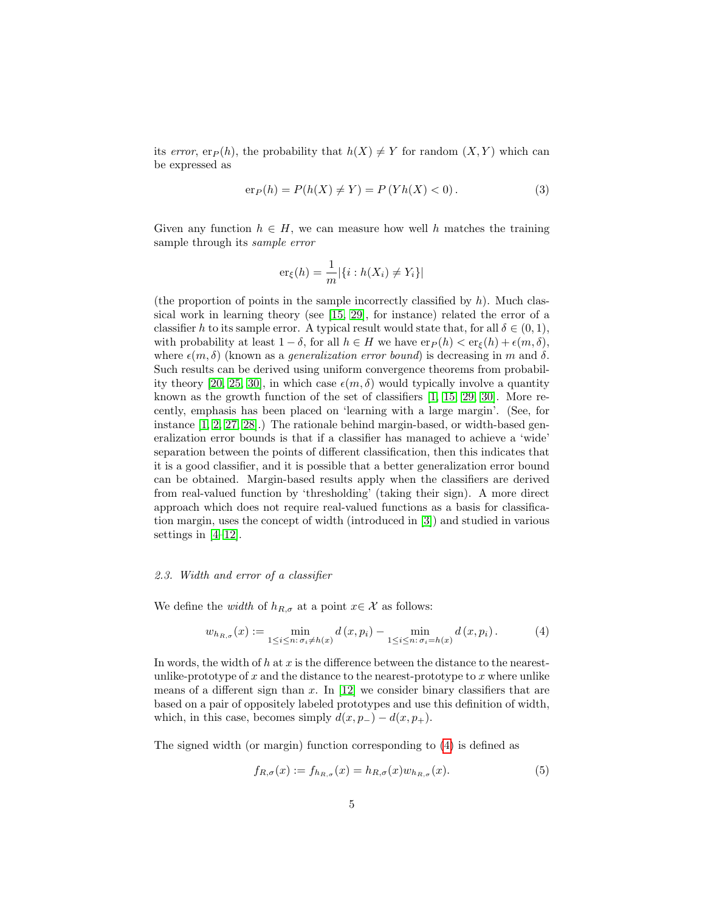its error, er<sub>P</sub>(h), the probability that  $h(X) \neq Y$  for random  $(X, Y)$  which can be expressed as

$$
er_P(h) = P(h(X) \neq Y) = P(Yh(X) < 0). \tag{3}
$$

Given any function  $h \in H$ , we can measure how well h matches the training sample through its sample error

$$
\mathrm{er}_{\xi}(h) = \frac{1}{m} |\{i : h(X_i) \neq Y_i\}|
$$

(the proportion of points in the sample incorrectly classified by  $h$ ). Much classical work in learning theory (see [\[15,](#page-24-9) [29\]](#page-25-2), for instance) related the error of a classifier h to its sample error. A typical result would state that, for all  $\delta \in (0,1)$ , with probability at least  $1 - \delta$ , for all  $h \in H$  we have  $er_P(h) < er_{\xi}(h) + \epsilon(m, \delta)$ , where  $\epsilon(m, \delta)$  (known as a *generalization error bound*) is decreasing in m and  $\delta$ . Such results can be derived using uniform convergence theorems from probabil-ity theory [\[20,](#page-24-10) [25,](#page-25-3) [30\]](#page-25-4), in which case  $\epsilon(m, \delta)$  would typically involve a quantity known as the growth function of the set of classifiers [\[1,](#page-23-0) [15,](#page-24-9) [29,](#page-25-2) [30\]](#page-25-4). More recently, emphasis has been placed on 'learning with a large margin'. (See, for instance [\[1,](#page-23-0) [2,](#page-23-3) [27,](#page-25-5) [28\]](#page-25-6).) The rationale behind margin-based, or width-based generalization error bounds is that if a classifier has managed to achieve a 'wide' separation between the points of different classification, then this indicates that it is a good classifier, and it is possible that a better generalization error bound can be obtained. Margin-based results apply when the classifiers are derived from real-valued function by 'thresholding' (taking their sign). A more direct approach which does not require real-valued functions as a basis for classification margin, uses the concept of width (introduced in [\[3\]](#page-23-1)) and studied in various settings in [\[4–](#page-23-2)[12\]](#page-24-5).

#### 2.3. Width and error of a classifier

We define the *width* of  $h_{R,\sigma}$  at a point  $x \in \mathcal{X}$  as follows:

<span id="page-5-0"></span>
$$
w_{h_{R,\sigma}}(x) := \min_{1 \le i \le n: \sigma_i \ne h(x)} d(x, p_i) - \min_{1 \le i \le n: \sigma_i = h(x)} d(x, p_i).
$$
 (4)

In words, the width of  $h$  at  $x$  is the difference between the distance to the nearestunlike-prototype of  $x$  and the distance to the nearest-prototype to  $x$  where unlike means of a different sign than  $x$ . In [\[12\]](#page-24-5) we consider binary classifiers that are based on a pair of oppositely labeled prototypes and use this definition of width, which, in this case, becomes simply  $d(x, p_-) - d(x, p_+)$ .

The signed width (or margin) function corresponding to [\(4\)](#page-5-0) is defined as

$$
f_{R,\sigma}(x) := f_{h_{R,\sigma}}(x) = h_{R,\sigma}(x) w_{h_{R,\sigma}}(x).
$$
\n<sup>(5)</sup>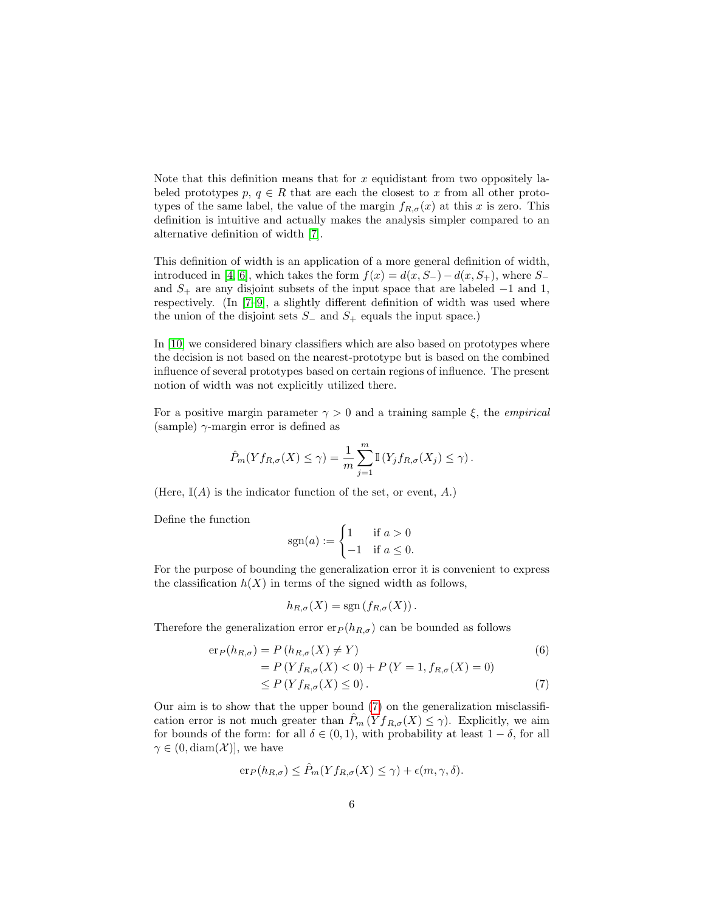Note that this definition means that for  $x$  equidistant from two oppositely labeled prototypes  $p, q \in R$  that are each the closest to x from all other prototypes of the same label, the value of the margin  $f_{R,\sigma}(x)$  at this x is zero. This definition is intuitive and actually makes the analysis simpler compared to an alternative definition of width [\[7\]](#page-23-4).

This definition of width is an application of a more general definition of width, introduced in [\[4,](#page-23-2) [6\]](#page-23-5), which takes the form  $f(x) = d(x, S_{-}) - d(x, S_{+})$ , where  $S_{-}$ and  $S_+$  are any disjoint subsets of the input space that are labeled  $-1$  and 1, respectively. (In [\[7](#page-23-4)[–9\]](#page-23-6), a slightly different definition of width was used where the union of the disjoint sets  $S_$  and  $S_+$  equals the input space.)

In [\[10\]](#page-24-3) we considered binary classifiers which are also based on prototypes where the decision is not based on the nearest-prototype but is based on the combined influence of several prototypes based on certain regions of influence. The present notion of width was not explicitly utilized there.

For a positive margin parameter  $\gamma > 0$  and a training sample  $\xi$ , the *empirical* (sample)  $\gamma$ -margin error is defined as

$$
\hat{P}_m(Yf_{R,\sigma}(X) \le \gamma) = \frac{1}{m} \sum_{j=1}^m \mathbb{I}\left(Y_jf_{R,\sigma}(X_j) \le \gamma\right).
$$

(Here,  $\mathbb{I}(A)$  is the indicator function of the set, or event, A.)

Define the function

$$
sgn(a) := \begin{cases} 1 & \text{if } a > 0 \\ -1 & \text{if } a \le 0. \end{cases}
$$

For the purpose of bounding the generalization error it is convenient to express the classification  $h(X)$  in terms of the signed width as follows,

<span id="page-6-0"></span>
$$
h_{R,\sigma}(X) = \text{sgn}(f_{R,\sigma}(X)).
$$

Therefore the generalization error  $er_{P}(h_{R,\sigma})$  can be bounded as follows

$$
\begin{aligned} \n\exp(h_{R,\sigma}) &= P\left(h_{R,\sigma}(X) \neq Y\right) \\ \n&= P\left(Yf_{R,\sigma}(X) < 0\right) + P\left(Y = 1, f_{R,\sigma}(X) = 0\right) \\ \n&\le P\left(Yf_{R,\sigma}(X) \le 0\right). \n\end{aligned} \tag{7}
$$

Our aim is to show that the upper bound [\(7\)](#page-6-0) on the generalization misclassification error is not much greater than  $\hat{P}_m(Yf_{R,\sigma}(X) \leq \gamma)$ . Explicitly, we aim for bounds of the form: for all  $\delta \in (0,1)$ , with probability at least  $1 - \delta$ , for all  $\gamma \in (0, \text{diam}(\mathcal{X}))$ , we have

$$
er_P(h_{R,\sigma}) \le \hat{P}_m(Yf_{R,\sigma}(X) \le \gamma) + \epsilon(m,\gamma,\delta).
$$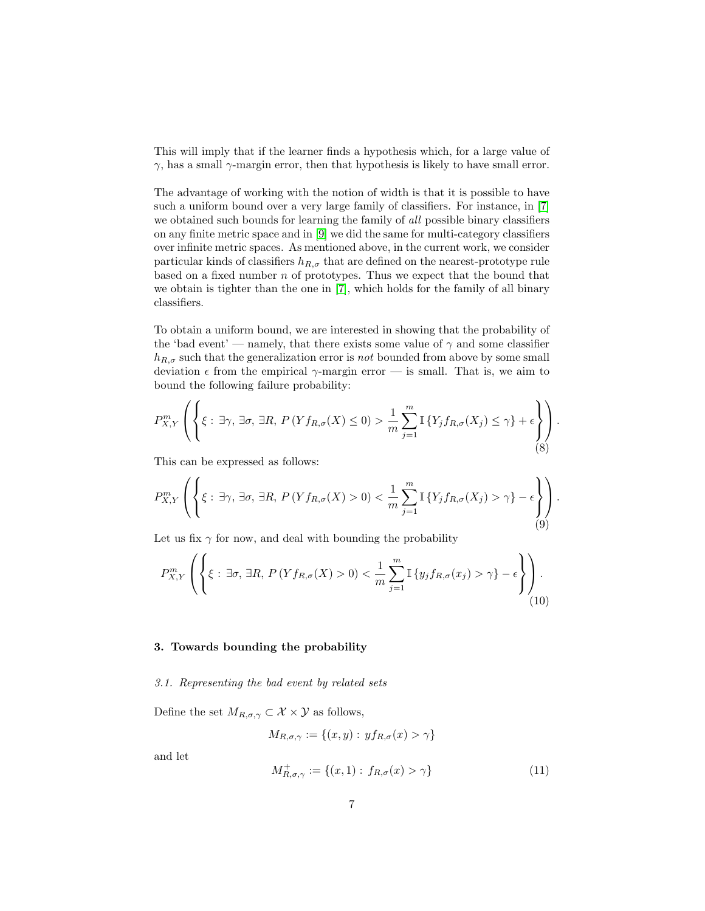This will imply that if the learner finds a hypothesis which, for a large value of  $γ$ , has a small  $γ$ -margin error, then that hypothesis is likely to have small error.

The advantage of working with the notion of width is that it is possible to have such a uniform bound over a very large family of classifiers. For instance, in [\[7\]](#page-23-4) we obtained such bounds for learning the family of all possible binary classifiers on any finite metric space and in [\[9\]](#page-23-6) we did the same for multi-category classifiers over infinite metric spaces. As mentioned above, in the current work, we consider particular kinds of classifiers  $h_{R,\sigma}$  that are defined on the nearest-prototype rule based on a fixed number  $n$  of prototypes. Thus we expect that the bound that we obtain is tighter than the one in [\[7\]](#page-23-4), which holds for the family of all binary classifiers.

To obtain a uniform bound, we are interested in showing that the probability of the 'bad event' — namely, that there exists some value of  $\gamma$  and some classifier  $h_{R,\sigma}$  such that the generalization error is not bounded from above by some small deviation  $\epsilon$  from the empirical  $\gamma$ -margin error — is small. That is, we aim to bound the following failure probability:

<span id="page-7-2"></span>
$$
P_{X,Y}^m\left(\left\{\xi:\,\exists\gamma,\,\exists\sigma,\,\exists R,\,P\left(Yf_{R,\sigma}(X)\leq 0\right)>\frac{1}{m}\sum_{j=1}^m\mathbb{I}\left\{Y_jf_{R,\sigma}(X_j)\leq \gamma\right\}+\epsilon\right\}\right).
$$
(8)

This can be expressed as follows:

<span id="page-7-0"></span>
$$
P_{X,Y}^m\left(\left\{\xi:\,\exists\gamma,\,\exists\sigma,\,\exists R,\,P\left(Yf_{R,\sigma}(X)>0\right)<\frac{1}{m}\sum_{j=1}^m\mathbb{I}\left\{Y_jf_{R,\sigma}(X_j)>\gamma\right\}-\epsilon\right\}\right).
$$

Let us fix  $\gamma$  for now, and deal with bounding the probability

<span id="page-7-1"></span>
$$
P_{X,Y}^m\left(\left\{\xi:\,\exists\sigma,\,\exists R,\,P\left(Yf_{R,\sigma}(X)>0\right)<\frac{1}{m}\sum_{j=1}^m\mathbb{I}\left\{y_jf_{R,\sigma}(x_j)>\gamma\right\}-\epsilon\right\}\right)\right). \tag{10}
$$

#### <span id="page-7-3"></span>3. Towards bounding the probability

3.1. Representing the bad event by related sets

Define the set  $M_{R,\sigma,\gamma} \subset \mathcal{X} \times \mathcal{Y}$  as follows,

$$
M_{R,\sigma,\gamma} := \{(x,y) : yf_{R,\sigma}(x) > \gamma\}
$$

and let

$$
M_{R,\sigma,\gamma}^{+} := \{(x,1) : f_{R,\sigma}(x) > \gamma\}
$$
\n(11)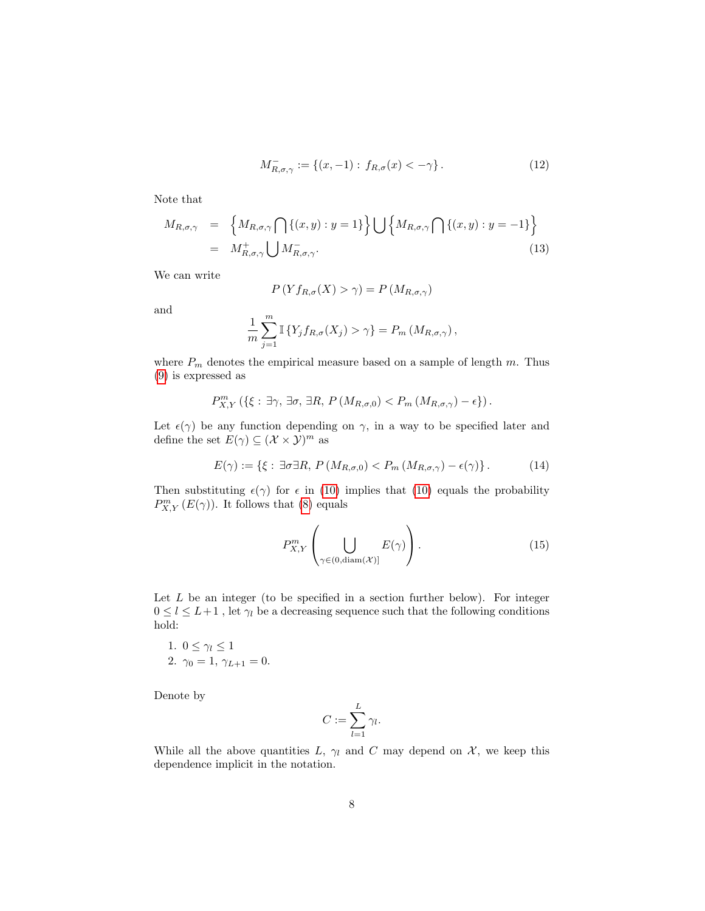$$
M_{R,\sigma,\gamma}^- := \{(x,-1) : f_{R,\sigma}(x) < -\gamma\} \,. \tag{12}
$$

Note that

<span id="page-8-1"></span>
$$
M_{R,\sigma,\gamma} = \left\{ M_{R,\sigma,\gamma} \bigcap \left\{ (x,y) : y = 1 \right\} \right\} \bigcup \left\{ M_{R,\sigma,\gamma} \bigcap \left\{ (x,y) : y = -1 \right\} \right\}
$$
  
= 
$$
M_{R,\sigma,\gamma}^+ \bigcup M_{R,\sigma,\gamma}^-.
$$
 (13)

We can write

$$
P(Yf_{R,\sigma}(X) > \gamma) = P(M_{R,\sigma,\gamma})
$$

and

$$
\frac{1}{m}\sum_{j=1}^{m} \mathbb{I}\left\{Y_j f_{R,\sigma}(X_j) > \gamma\right\} = P_m\left(M_{R,\sigma,\gamma}\right),
$$

where  $P_m$  denotes the empirical measure based on a sample of length m. Thus [\(9\)](#page-7-0) is expressed as

$$
P_{X,Y}^m\left(\left\{\xi:\,\exists\gamma,\,\exists\sigma,\,\exists R,\,P\left(M_{R,\sigma,0}\right)
$$

Let  $\epsilon(\gamma)$  be any function depending on  $\gamma$ , in a way to be specified later and define the set  $E(\gamma) \subseteq (\mathcal{X} \times \mathcal{Y})^m$  as

<span id="page-8-2"></span>
$$
E(\gamma) := \{ \xi : \exists \sigma \exists R, P \left( M_{R,\sigma,0} \right) < P_m \left( M_{R,\sigma,\gamma} \right) - \epsilon(\gamma) \}. \tag{14}
$$

Then substituting  $\epsilon(\gamma)$  for  $\epsilon$  in [\(10\)](#page-7-1) implies that (10) equals the probability  $P_{X,Y}^m(E(\gamma))$ . It follows that [\(8\)](#page-7-2) equals

<span id="page-8-0"></span>
$$
P_{X,Y}^m \left( \bigcup_{\gamma \in (0, \text{diam}(\mathcal{X})]} E(\gamma) \right). \tag{15}
$$

Let  $L$  be an integer (to be specified in a section further below). For integer  $0 \leq l \leq L+1$ , let  $\gamma_l$  be a decreasing sequence such that the following conditions hold:

1. 
$$
0 \le \gamma_l \le 1
$$
  
2.  $\gamma_0 = 1, \gamma_{L+1} = 0$ .

Denote by

$$
C := \sum_{l=1}^{L} \gamma_l.
$$

While all the above quantities L,  $\gamma_l$  and C may depend on X, we keep this dependence implicit in the notation.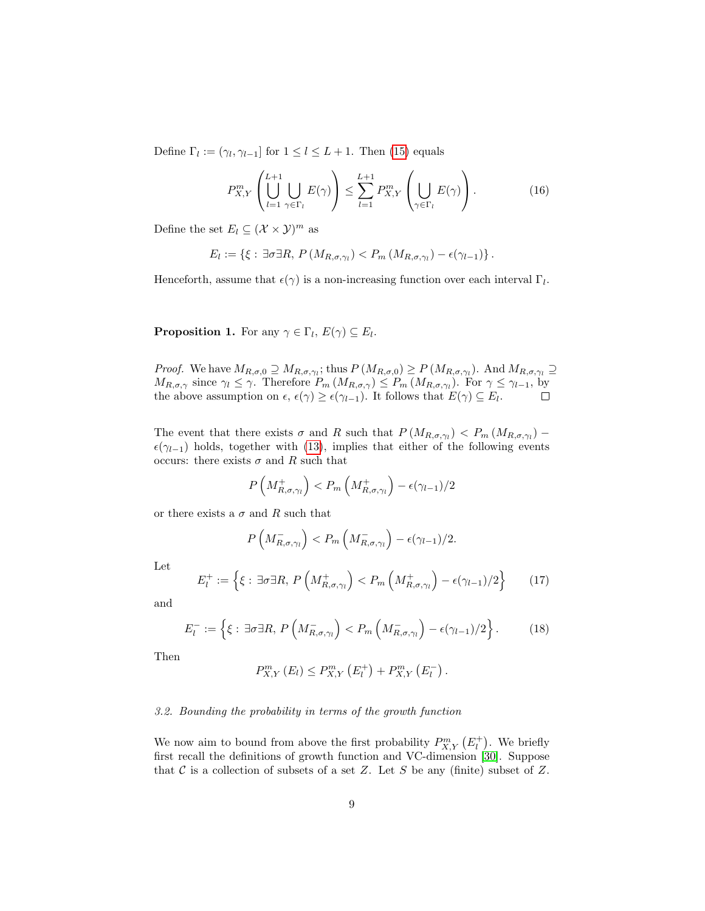Define  $\Gamma_l := (\gamma_l, \gamma_{l-1}]$  for  $1 \leq l \leq L+1$ . Then [\(15\)](#page-8-0) equals

<span id="page-9-2"></span>
$$
P_{X,Y}^m\left(\bigcup_{l=1}^{L+1}\bigcup_{\gamma\in\Gamma_l}E(\gamma)\right)\leq \sum_{l=1}^{L+1}P_{X,Y}^m\left(\bigcup_{\gamma\in\Gamma_l}E(\gamma)\right). \tag{16}
$$

Define the set  $E_l \subseteq (\mathcal{X} \times \mathcal{Y})^m$  as

$$
E_l := \left\{ \xi : \exists \sigma \exists R, P \left( M_{R,\sigma,\gamma_l} \right) < P_m \left( M_{R,\sigma,\gamma_l} \right) - \epsilon(\gamma_{l-1}) \right\}.
$$

<span id="page-9-0"></span>Henceforth, assume that  $\epsilon(\gamma)$  is a non-increasing function over each interval  $\Gamma_l$ .

**Proposition 1.** For any  $\gamma \in \Gamma_l$ ,  $E(\gamma) \subseteq E_l$ .

*Proof.* We have  $M_{R,\sigma,0} \supseteq M_{R,\sigma,\gamma_i}$ ; thus  $P(M_{R,\sigma,0}) \geq P(M_{R,\sigma,\gamma_i})$ . And  $M_{R,\sigma,\gamma_i} \supseteq$  $M_{R,\sigma,\gamma}$  since  $\gamma_l \leq \gamma$ . Therefore  $P_m(M_{R,\sigma,\gamma}) \leq P_m(M_{R,\sigma,\gamma_l})$ . For  $\gamma \leq \gamma_{l-1}$ , by the above assumption on  $\epsilon, \epsilon(\gamma) \geq \epsilon(\gamma_{l-1})$ . It follows that  $E(\gamma) \subseteq E_l$ .  $\Box$ 

The event that there exists  $\sigma$  and R such that  $P(M_{R,\sigma,\gamma_l}) < P_m(M_{R,\sigma,\gamma_l})$  –  $\epsilon(\gamma_{l-1})$  holds, together with [\(13\)](#page-8-1), implies that either of the following events occurs: there exists  $\sigma$  and R such that

$$
P\left(M_{R,\sigma,\gamma_l}^+\right) < P_m\left(M_{R,\sigma,\gamma_l}^+\right) - \epsilon(\gamma_{l-1})/2
$$

or there exists a  $\sigma$  and R such that

$$
P\left(M_{R,\sigma,\gamma_l}^-\right) < P_m\left(M_{R,\sigma,\gamma_l}^-\right) - \epsilon(\gamma_{l-1})/2.
$$

Let

<span id="page-9-1"></span>
$$
E_l^+ := \left\{ \xi : \exists \sigma \exists R, P\left(M_{R,\sigma,\gamma_l}^+\right) < P_m\left(M_{R,\sigma,\gamma_l}^+\right) - \epsilon(\gamma_{l-1})/2 \right\} \tag{17}
$$

and

$$
E_l^- := \left\{ \xi : \exists \sigma \exists R, P\left(M_{R,\sigma,\gamma_l}^-\right) < P_m\left(M_{R,\sigma,\gamma_l}^-\right) - \epsilon(\gamma_{l-1})/2 \right\}.\tag{18}
$$

Then

$$
P_{X,Y}^{m}(E_{l}) \leq P_{X,Y}^{m}(E_{l}^{+}) + P_{X,Y}^{m}(E_{l}^{-}).
$$

#### <span id="page-9-3"></span>3.2. Bounding the probability in terms of the growth function

We now aim to bound from above the first probability  $P_{X,Y}^m(E_t^+)$ . We briefly first recall the definitions of growth function and VC-dimension [\[30\]](#page-25-4). Suppose that  $\mathcal C$  is a collection of subsets of a set Z. Let S be any (finite) subset of Z.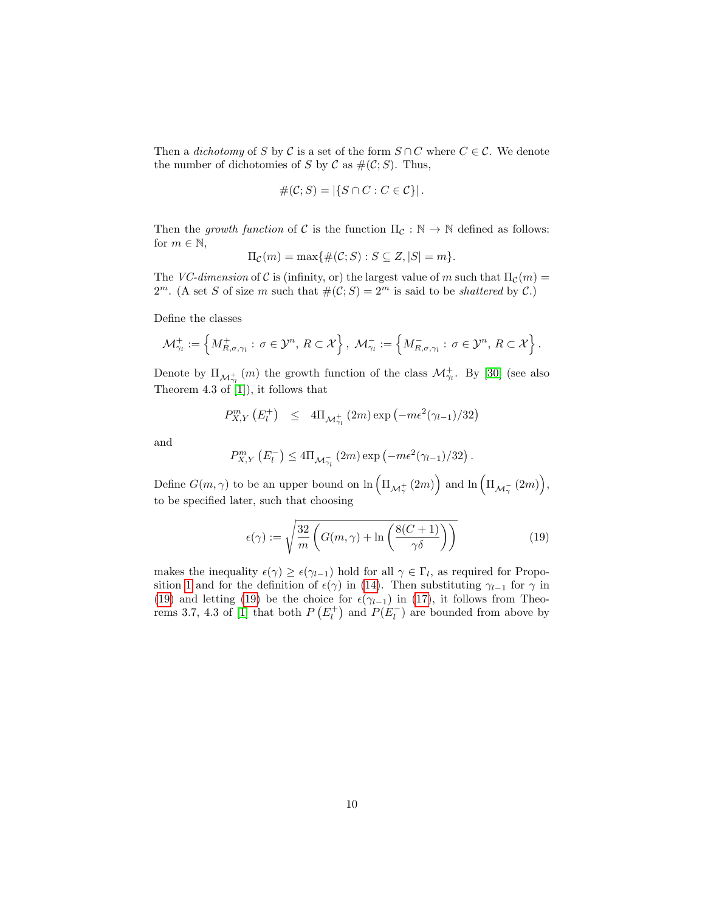Then a *dichotomy* of S by C is a set of the form  $S \cap C$  where  $C \in \mathcal{C}$ . We denote the number of dichotomies of S by C as  $\#(\mathcal{C}; S)$ . Thus,

$$
\#(\mathcal{C};S) = |\{S \cap C : C \in \mathcal{C}\}|.
$$

Then the growth function of C is the function  $\Pi_{\mathcal{C}} : \mathbb{N} \to \mathbb{N}$  defined as follows: for  $m \in \mathbb{N}$ ,

$$
\Pi_{\mathcal{C}}(m) = \max\{\#(\mathcal{C};S) : S \subseteq Z, |S| = m\}.
$$

The VC-dimension of C is (infinity, or) the largest value of m such that  $\Pi_{\mathcal{C}}(m) =$  $2^m$ . (A set S of size m such that  $\#(\mathcal{C}; S) = 2^m$  is said to be *shattered* by C.)

Define the classes

$$
\mathcal{M}_{\gamma_l}^+ := \left\{ M_{R,\sigma,\gamma_l}^+ : \, \sigma \in \mathcal{Y}^n, \, R \subset \mathcal{X} \right\}, \, \mathcal{M}_{\gamma_l}^- := \left\{ M_{R,\sigma,\gamma_l}^- : \, \sigma \in \mathcal{Y}^n, \, R \subset \mathcal{X} \right\}.
$$

Denote by  $\Pi_{\mathcal{M}^+_{\gamma_l}}(m)$  the growth function of the class  $\mathcal{M}^+_{\gamma_l}$ . By [\[30\]](#page-25-4) (see also Theorem 4.3 of  $[1]$ , it follows that

$$
P_{X,Y}^m\left(E_l^+\right) \leq 4\Pi_{\mathcal{M}_{\gamma_l}^+}(2m)\exp\left(-m\epsilon^2(\gamma_{l-1})/32\right)
$$

and

$$
P_{X,Y}^m(E_l^-) \leq 4\Pi_{\mathcal{M}_{\gamma_l}^-}(2m) \exp(-m\epsilon^2(\gamma_{l-1})/32).
$$

Define  $G(m, \gamma)$  to be an upper bound on  $\ln \left(\Pi_{\mathcal{M}^+_{\gamma}}(2m)\right)$  and  $\ln \left(\Pi_{\mathcal{M}^-_{\gamma}}(2m)\right)$ , to be specified later, such that choosing

<span id="page-10-0"></span>
$$
\epsilon(\gamma) := \sqrt{\frac{32}{m} \left( G(m, \gamma) + \ln \left( \frac{8(C+1)}{\gamma \delta} \right) \right)}
$$
(19)

makes the inequality  $\epsilon(\gamma) \geq \epsilon(\gamma_{l-1})$  hold for all  $\gamma \in \Gamma_l$ , as required for Propo-sition [1](#page-9-0) and for the definition of  $\epsilon(\gamma)$  in [\(14\)](#page-8-2). Then substituting  $\gamma_{l-1}$  for  $\gamma$  in [\(19\)](#page-10-0) and letting [\(19\)](#page-10-0) be the choice for  $\epsilon(\gamma_{l-1})$  in [\(17\)](#page-9-1), it follows from Theo-rems 3.7, 4.3 of [\[1\]](#page-23-0) that both  $P(E_l^+)$  and  $P(E_l^-)$  are bounded from above by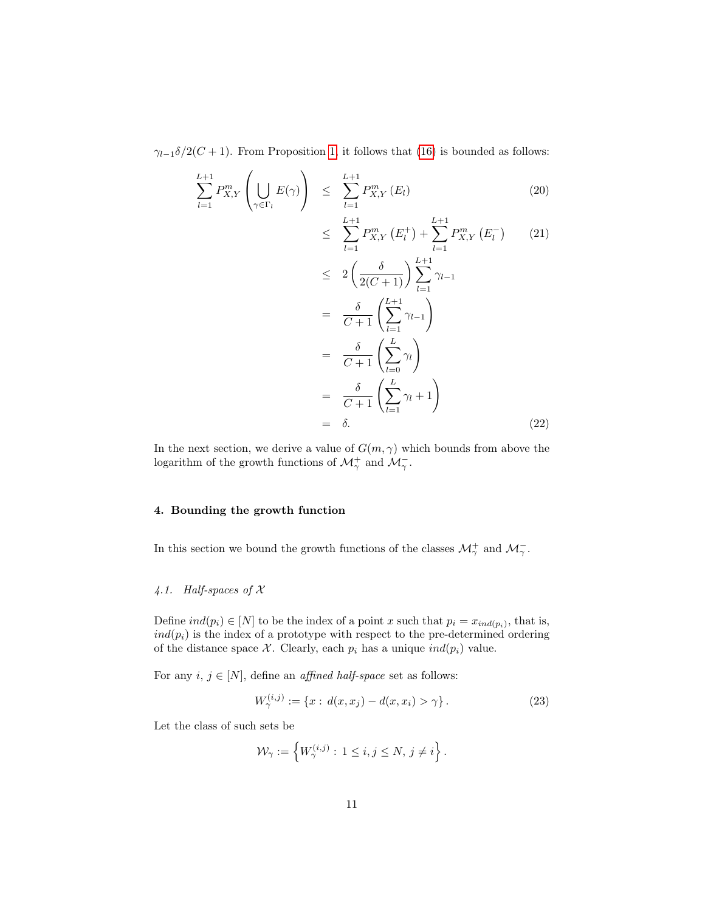$\gamma_{l-1}\delta/2(C+1)$ . From Proposition [1,](#page-9-0) it follows that [\(16\)](#page-9-2) is bounded as follows:

$$
\sum_{l=1}^{L+1} P_{X,Y}^m \left( \bigcup_{\gamma \in \Gamma_l} E(\gamma) \right) \leq \sum_{l=1}^{L+1} P_{X,Y}^m \left( E_l \right) \tag{20}
$$
\n
$$
\leq \sum_{l=1}^{L+1} P_{X,Y}^m \left( E_l^+ \right) + \sum_{l=1}^{L+1} P_{X,Y}^m \left( E_l^- \right) \tag{21}
$$
\n
$$
\leq 2 \left( \frac{\delta}{2(C+1)} \right) \sum_{l=1}^{L+1} \gamma_{l-1}
$$
\n
$$
= \frac{\delta}{C+1} \left( \sum_{l=1}^{L+1} \gamma_{l-1} \right)
$$
\n
$$
= \frac{\delta}{C+1} \left( \sum_{l=0}^{L} \gamma_l \right)
$$
\n
$$
= \frac{\delta}{C+1} \left( \sum_{l=1}^{L} \gamma_l + 1 \right)
$$
\n
$$
= \delta. \tag{22}
$$

In the next section, we derive a value of  $G(m, \gamma)$  which bounds from above the logarithm of the growth functions of  $\mathcal{M}_{\gamma}^{+}$  and  $\mathcal{M}_{\gamma}^{-}$ .

#### 4. Bounding the growth function

In this section we bound the growth functions of the classes  $\mathcal{M}_{\gamma}^{+}$  and  $\mathcal{M}_{\gamma}^{-}$ .

#### 4.1. Half-spaces of X

Define  $ind(p_i) \in [N]$  to be the index of a point x such that  $p_i = x_{ind(p_i)}$ , that is,  $ind(p_i)$  is the index of a prototype with respect to the pre-determined ordering of the distance space  $\mathcal X$ . Clearly, each  $p_i$  has a unique  $ind(p_i)$  value.

For any  $i, j \in [N]$ , define an *affined half-space* set as follows:

<span id="page-11-0"></span>
$$
W_{\gamma}^{(i,j)} := \{ x : d(x, x_j) - d(x, x_i) > \gamma \}.
$$
 (23)

Let the class of such sets be

$$
\mathcal{W}_{\gamma} := \left\{ W_{\gamma}^{(i,j)} : 1 \le i, j \le N, j \neq i \right\}.
$$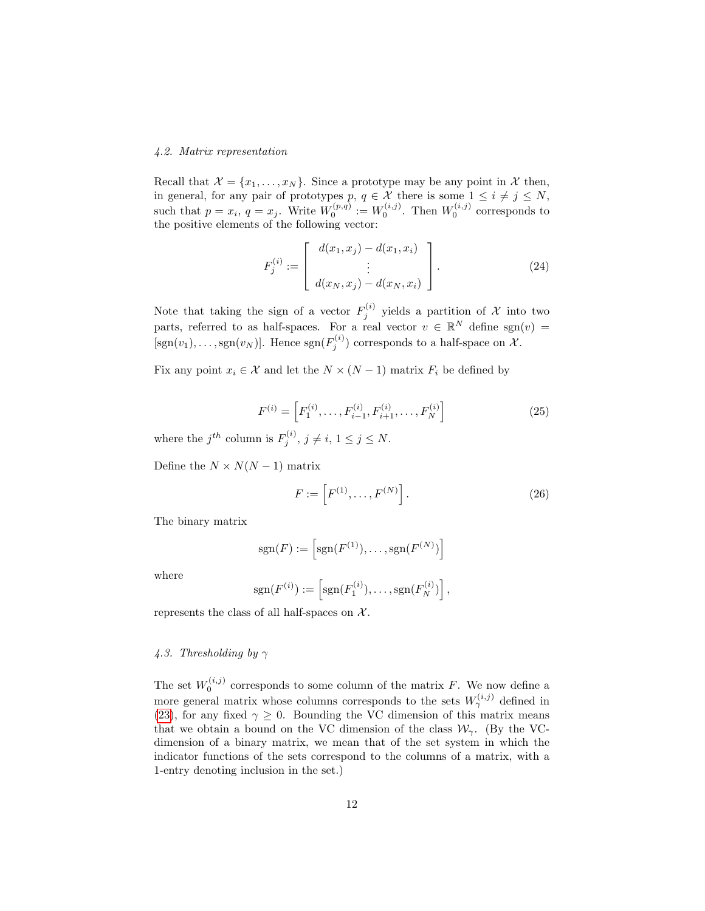#### 4.2. Matrix representation

Recall that  $\mathcal{X} = \{x_1, \ldots, x_N\}$ . Since a prototype may be any point in  $\mathcal{X}$  then, in general, for any pair of prototypes p,  $q \in \mathcal{X}$  there is some  $1 \leq i \neq j \leq N$ , such that  $p = x_i$ ,  $q = x_j$ . Write  $W_0^{(p,q)} := W_0^{(i,j)}$ . Then  $W_0^{(i,j)}$  corresponds to the positive elements of the following vector:

$$
F_j^{(i)} := \begin{bmatrix} d(x_1, x_j) - d(x_1, x_i) \\ \vdots \\ d(x_N, x_j) - d(x_N, x_i) \end{bmatrix} .
$$
 (24)

Note that taking the sign of a vector  $F_j^{(i)}$  yields a partition of X into two parts, referred to as half-spaces. For a real vector  $v \in \mathbb{R}^N$  define sgn $(v)$  =  $[\text{sgn}(v_1), \ldots, \text{sgn}(v_N)]$ . Hence  $\text{sgn}(F_j^{(i)})$  corresponds to a half-space on  $\mathcal{X}$ .

Fix any point  $x_i \in \mathcal{X}$  and let the  $N \times (N-1)$  matrix  $F_i$  be defined by

$$
F^{(i)} = \left[ F_1^{(i)}, \dots, F_{i-1}^{(i)}, F_{i+1}^{(i)}, \dots, F_N^{(i)} \right]
$$
 (25)

where the  $j^{th}$  column is  $F_j^{(i)}$ ,  $j \neq i$ ,  $1 \leq j \leq N$ .

Define the  $N \times N(N-1)$  matrix

$$
F := [F^{(1)}, \dots, F^{(N)}].
$$
 (26)

The binary matrix

$$
sgn(F) := \left[ sgn(F^{(1)}), \dots, sgn(F^{(N)}) \right]
$$

where

$$
sgn(F^{(i)}) := \left[sgn(F_1^{(i)}), \ldots, sgn(F_N^{(i)})\right],
$$

represents the class of all half-spaces on  $\mathcal{X}$ .

#### 4.3. Thresholding by  $\gamma$

The set  $W_0^{(i,j)}$  corresponds to some column of the matrix F. We now define a more general matrix whose columns corresponds to the sets  $W_{\gamma}^{(i,j)}$  defined in [\(23\)](#page-11-0), for any fixed  $\gamma \geq 0$ . Bounding the VC dimension of this matrix means that we obtain a bound on the VC dimension of the class  $\mathcal{W}_{\gamma}$ . (By the VCdimension of a binary matrix, we mean that of the set system in which the indicator functions of the sets correspond to the columns of a matrix, with a 1-entry denoting inclusion in the set.)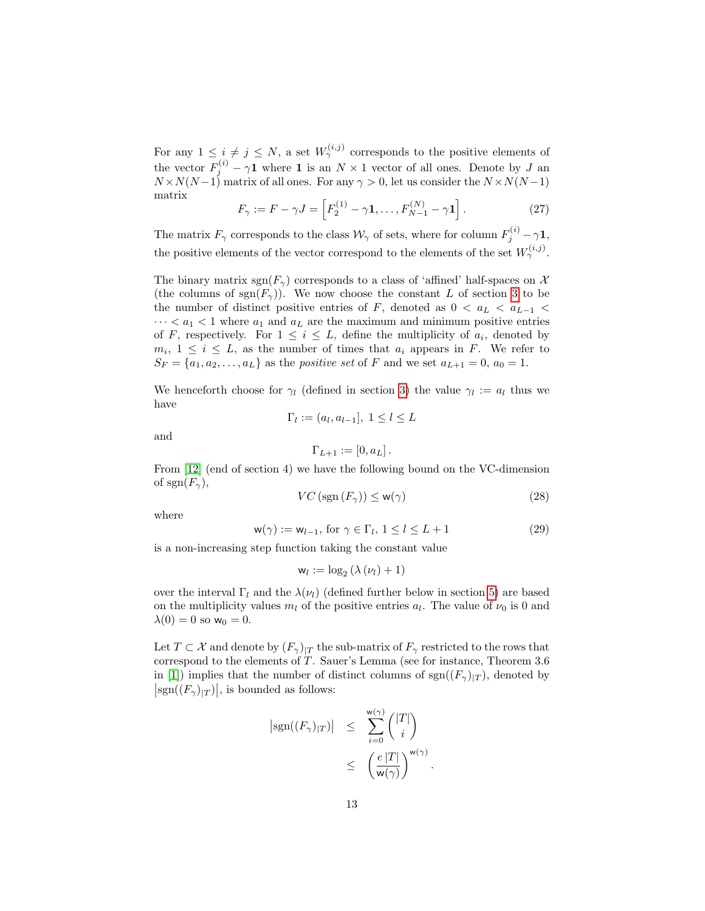For any  $1 \leq i \neq j \leq N$ , a set  $W_{\gamma}^{(i,j)}$  corresponds to the positive elements of the vector  $F_j^{(i)} - \gamma \mathbf{1}$  where **1** is an  $N \times 1$  vector of all ones. Denote by J an  $N \times N(N-1)$  matrix of all ones. For any  $\gamma > 0$ , let us consider the  $N \times N(N-1)$ matrix

$$
F_{\gamma} := F - \gamma J = \left[ F_2^{(1)} - \gamma \mathbf{1}, \dots, F_{N-1}^{(N)} - \gamma \mathbf{1} \right]. \tag{27}
$$

The matrix  $F_\gamma$  corresponds to the class  $\mathcal{W}_\gamma$  of sets, where for column  $F_j^{(i)} - \gamma \mathbf{1}$ , the positive elements of the vector correspond to the elements of the set  $W_{\gamma}^{(i,j)}$ .

The binary matrix sgn( $F_{\gamma}$ ) corresponds to a class of 'affined' half-spaces on X (the columns of  $sgn(F_{\gamma})$ ). We now choose the constant L of section [3](#page-7-3) to be the number of distinct positive entries of F, denoted as  $0 < a<sub>L</sub> < a<sub>L-1</sub>$  $\cdots < a_1 < 1$  where  $a_1$  and  $a_L$  are the maximum and minimum positive entries of F, respectively. For  $1 \leq i \leq L$ , define the multiplicity of  $a_i$ , denoted by  $m_i, 1 \leq i \leq L$ , as the number of times that  $a_i$  appears in F. We refer to  $S_F = \{a_1, a_2, \ldots, a_L\}$  as the *positive set* of F and we set  $a_{L+1} = 0$ ,  $a_0 = 1$ .

We henceforth choose for  $\gamma_l$  (defined in section [3\)](#page-7-3) the value  $\gamma_l := a_l$  thus we have

$$
\Gamma_l := (a_l, a_{l-1}], \ 1 \leq l \leq L
$$

and

$$
\Gamma_{L+1} := [0, a_L].
$$

From [\[12\]](#page-24-5) (end of section 4) we have the following bound on the VC-dimension of sgn $(F_\gamma)$ ,

$$
VC\left(\text{sgn}\left(F_{\gamma}\right)\right) \leq \mathsf{w}(\gamma) \tag{28}
$$

where

<span id="page-13-0"></span>
$$
\mathsf{w}(\gamma) := \mathsf{w}_{l-1}, \text{ for } \gamma \in \Gamma_l, 1 \le l \le L+1 \tag{29}
$$

is a non-increasing step function taking the constant value

$$
w_l := \log_2\left(\lambda\left(\nu_l\right) + 1\right)
$$

over the interval  $\Gamma_l$  and the  $\lambda(\nu_l)$  (defined further below in section [5\)](#page-19-0) are based on the multiplicity values  $m_l$  of the positive entries  $a_l$ . The value of  $\nu_0$  is 0 and  $\lambda(0) = 0$  so  $w_0 = 0$ .

Let  $T \subset \mathcal{X}$  and denote by  $(F_{\gamma})_{|T}$  the sub-matrix of  $F_{\gamma}$  restricted to the rows that correspond to the elements of T. Sauer's Lemma (see for instance, Theorem 3.6 in [\[1\]](#page-23-0)) implies that the number of distinct columns of  $sgn((F_{\gamma})_{|T})$ , denoted by  $|\text{sgn}((F_{\gamma})_{|T})|$ , is bounded as follows:

$$
\begin{array}{rcl} \left| \mathrm{sgn}((F_{\gamma})_{|T}) \right| & \leq & \displaystyle \sum_{i=0}^{\mathrm{w}(\gamma)} \binom{|T|}{i} \\ & \leq & \left( \frac{e \, |T|}{\mathrm{w}(\gamma)} \right)^{\mathrm{w}(\gamma)} . \end{array}
$$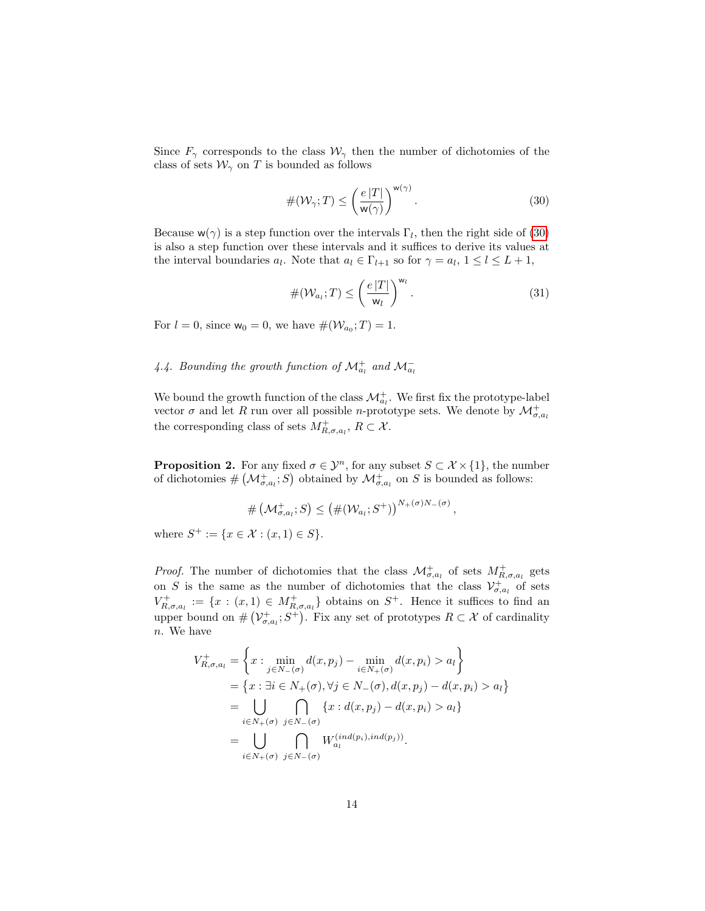Since  $F_{\gamma}$  corresponds to the class  $\mathcal{W}_{\gamma}$  then the number of dichotomies of the class of sets  $\mathcal{W}_{\gamma}$  on T is bounded as follows

<span id="page-14-0"></span>
$$
\#(\mathcal{W}_{\gamma};T) \le \left(\frac{e|T|}{\mathsf{w}(\gamma)}\right)^{\mathsf{w}(\gamma)}.\tag{30}
$$

Because  $w(\gamma)$  is a step function over the intervals  $\Gamma_l$ , then the right side of [\(30\)](#page-14-0) is also a step function over these intervals and it suffices to derive its values at the interval boundaries  $a_l$ . Note that  $a_l \in \Gamma_{l+1}$  so for  $\gamma = a_l, 1 \le l \le L+1$ ,

<span id="page-14-2"></span>
$$
\#(\mathcal{W}_{a_l};T) \leq \left(\frac{e|T|}{\mathsf{w}_l}\right)^{\mathsf{w}_l}.\tag{31}
$$

For  $l = 0$ , since  $w_0 = 0$ , we have  $\#(\mathcal{W}_{a_0}; T) = 1$ .

### 4.4. Bounding the growth function of  $\mathcal{M}^+_{a_l}$  and  $\mathcal{M}^-_{a_l}$

We bound the growth function of the class  $\mathcal{M}^+_{a_l}$ . We first fix the prototype-label vector  $\sigma$  and let R run over all possible n-prototype sets. We denote by  $\mathcal{M}_{\sigma,a_l}^+$ the corresponding class of sets  $M^+_{R,\sigma,a_l}, R \subset \mathcal{X}$ .

<span id="page-14-1"></span>**Proposition 2.** For any fixed  $\sigma \in \mathcal{Y}^n$ , for any subset  $S \subset \mathcal{X} \times \{1\}$ , the number of dichotomies  $\#(\mathcal{M}^+_{\sigma,a_l};S)$  obtained by  $\mathcal{M}^+_{\sigma,a_l}$  on S is bounded as follows:

$$
\# \left( \mathcal{M}_{\sigma,a_i}^+; S \right) \leq \left( \#(\mathcal{W}_{a_i}; S^+) \right)^{N_+(\sigma)N_-(\sigma)},
$$

where  $S^+ := \{x \in \mathcal{X} : (x, 1) \in S\}.$ 

*Proof.* The number of dichotomies that the class  $\mathcal{M}^+_{\sigma,a_l}$  of sets  $M^+_{R,\sigma,a_l}$  gets on S is the same as the number of dichotomies that the class  $\mathcal{V}_{\sigma,a_l}^+$  of sets  $V^+_{R,\sigma,a_l} := \{x : (x,1) \in M^+_{R,\sigma,a_l}\}\$ obtains on  $S^+$ . Hence it suffices to find an upper bound on  $\#(\mathcal{V}^+_{\sigma,a_i};S^+)$ . Fix any set of prototypes  $R \subset \mathcal{X}$  of cardinality n. We have

$$
V_{R,\sigma,a_l}^+ = \left\{ x : \min_{j \in N_-(\sigma)} d(x, p_j) - \min_{i \in N_+(\sigma)} d(x, p_i) > a_l \right\}
$$
  
= 
$$
\left\{ x : \exists i \in N_+(\sigma), \forall j \in N_-(\sigma), d(x, p_j) - d(x, p_i) > a_l \right\}
$$
  
= 
$$
\bigcup_{i \in N_+(\sigma)} \bigcap_{j \in N_-(\sigma)} \left\{ x : d(x, p_j) - d(x, p_i) > a_l \right\}
$$
  
= 
$$
\bigcup_{i \in N_+(\sigma)} \bigcap_{j \in N_-(\sigma)} W_{a_l}^{(ind(p_i),ind(p_j))}.
$$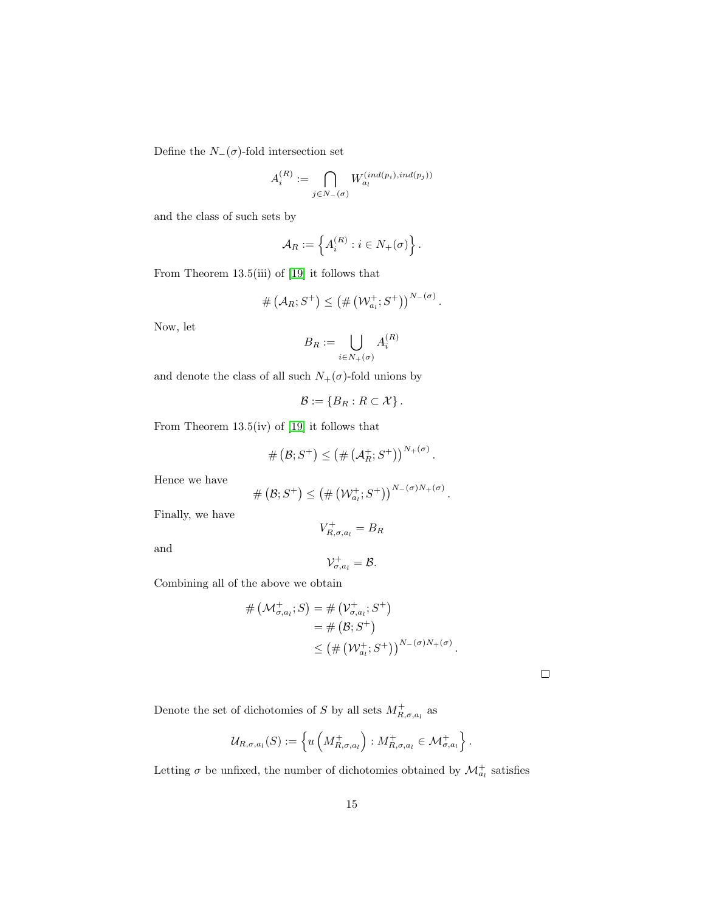Define the  $N_-(\sigma)$ -fold intersection set

$$
A_i^{(R)} := \bigcap_{j \in N_-(\sigma)} W_{a_i}^{(ind(p_i),ind(p_j))}
$$

and the class of such sets by

$$
\mathcal{A}_R := \left\{ A_i^{(R)} : i \in N_+(\sigma) \right\}.
$$

From Theorem 13.5(iii) of [\[19\]](#page-24-8) it follows that

$$
\#\left(\mathcal{A}_R;S^+\right)\leq \left(\#\left(\mathcal{W}_{a_l}^+;S^+\right)\right)^{N-(\sigma)}.
$$

Now, let

$$
B_R:=\bigcup_{i\in N_+(\sigma)}A_i^{(R)}
$$

and denote the class of all such  $N_+(\sigma)\text{-fold unions by}$ 

$$
\mathcal{B} := \{B_R : R \subset \mathcal{X}\}.
$$

From Theorem 13.5(iv) of [\[19\]](#page-24-8) it follows that

$$
\# \left( \mathcal{B}; S^+ \right) \leq \left( \# \left( \mathcal{A}^+_R; S^+ \right) \right)^{N_+(\sigma)}
$$

.

Hence we have

$$
\# \left( \mathcal{B}; S^+ \right) \leq \left( \# \left( \mathcal{W}_{a_l}^+; S^+ \right) \right)^{N-(\sigma)N_+(\sigma)}.
$$

Finally, we have

and

$$
\mathcal{V}_{\sigma,a_l}^+ = \mathcal{B}.
$$

 $V_{R,\sigma,a_l}^+ = B_R$ 

Combining all of the above we obtain

$$
# (\mathcal{M}_{\sigma,a_i}^+, S) = # (\mathcal{V}_{\sigma,a_i}^+, S^+)
$$
  
= # (B; S<sup>+</sup>)  

$$
\leq (# (\mathcal{W}_{a_i}^+, S^+))^{N_-(\sigma)N_+(\sigma)}.
$$

 $\Box$ 

Denote the set of dichotomies of S by all sets  $M^+_{R,\sigma,a_l}$  as

$$
\mathcal{U}_{R,\sigma,a_l}(S) := \left\{ u\left(M^+_{R,\sigma,a_l}\right) : M^+_{R,\sigma,a_l} \in \mathcal{M}^+_{\sigma,a_l} \right\}.
$$

Letting  $\sigma$  be unfixed, the number of dichotomies obtained by  $\mathcal{M}^+_{a_l}$  satisfies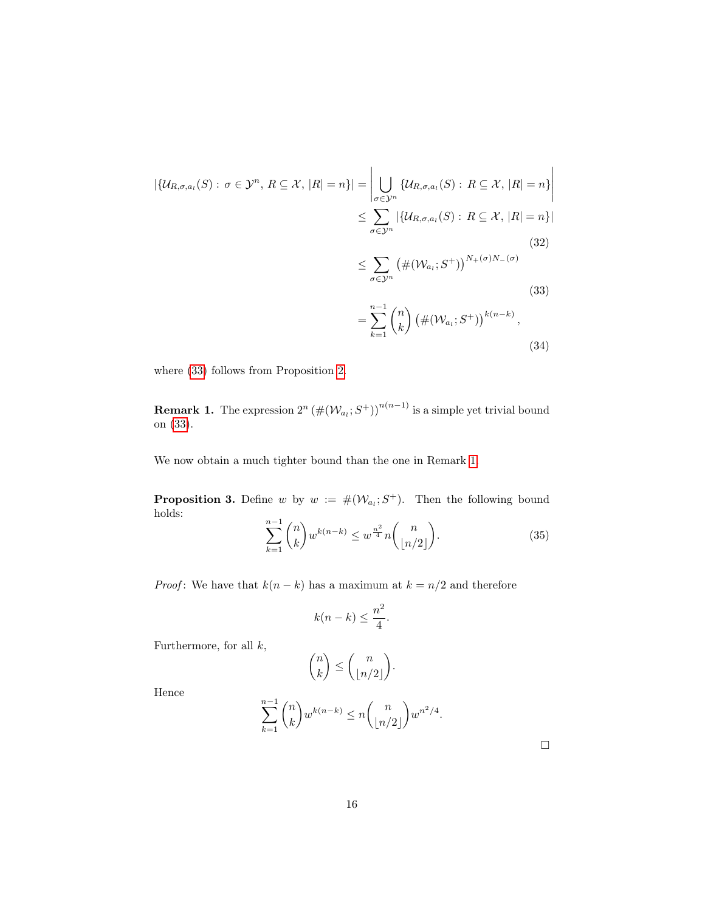$$
|\{\mathcal{U}_{R,\sigma,a_{l}}(S): \sigma \in \mathcal{Y}^{n}, R \subseteq \mathcal{X}, |R| = n\}| = \left| \bigcup_{\sigma \in \mathcal{Y}^{n}} \{\mathcal{U}_{R,\sigma,a_{l}}(S): R \subseteq \mathcal{X}, |R| = n\} \right|
$$
  

$$
\leq \sum_{\sigma \in \mathcal{Y}^{n}} |\{\mathcal{U}_{R,\sigma,a_{l}}(S): R \subseteq \mathcal{X}, |R| = n\}|
$$
  

$$
\leq \sum_{\sigma \in \mathcal{Y}^{n}} (\#(\mathcal{W}_{a_{l}}; S^{+}))^{N_{+}(\sigma)N_{-}(\sigma)}
$$
  

$$
= \sum_{k=1}^{n-1} {n \choose k} (\#(\mathcal{W}_{a_{l}}; S^{+}))^{k(n-k)},
$$
  
(33)

where [\(33\)](#page-16-0) follows from Proposition [2.](#page-14-1)

**Remark 1.** The expression  $2^n (\#(\mathcal{W}_{a_i}; S^+))^{n(n-1)}$  is a simple yet trivial bound on [\(33\)](#page-16-0).

<span id="page-16-3"></span>We now obtain a much tighter bound than the one in Remark [1.](#page-16-1)

**Proposition 3.** Define w by  $w := \#(\mathcal{W}_{a_i}; S^+)$ . Then the following bound holds:

<span id="page-16-2"></span><span id="page-16-1"></span><span id="page-16-0"></span>
$$
\sum_{k=1}^{n-1} \binom{n}{k} w^{k(n-k)} \le w^{\frac{n^2}{4}} n \binom{n}{\lfloor n/2 \rfloor}.
$$
 (35)

*Proof*: We have that  $k(n - k)$  has a maximum at  $k = n/2$  and therefore

$$
k(n-k) \le \frac{n^2}{4}.
$$

Furthermore, for all  $k$ ,

$$
\binom{n}{k} \leq \binom{n}{\lfloor n/2 \rfloor}.
$$

Hence

$$
\sum_{k=1}^{n-1} \binom{n}{k} w^{k(n-k)} \le n \binom{n}{\lfloor n/2 \rfloor} w^{n^2/4}.
$$

 $\Box$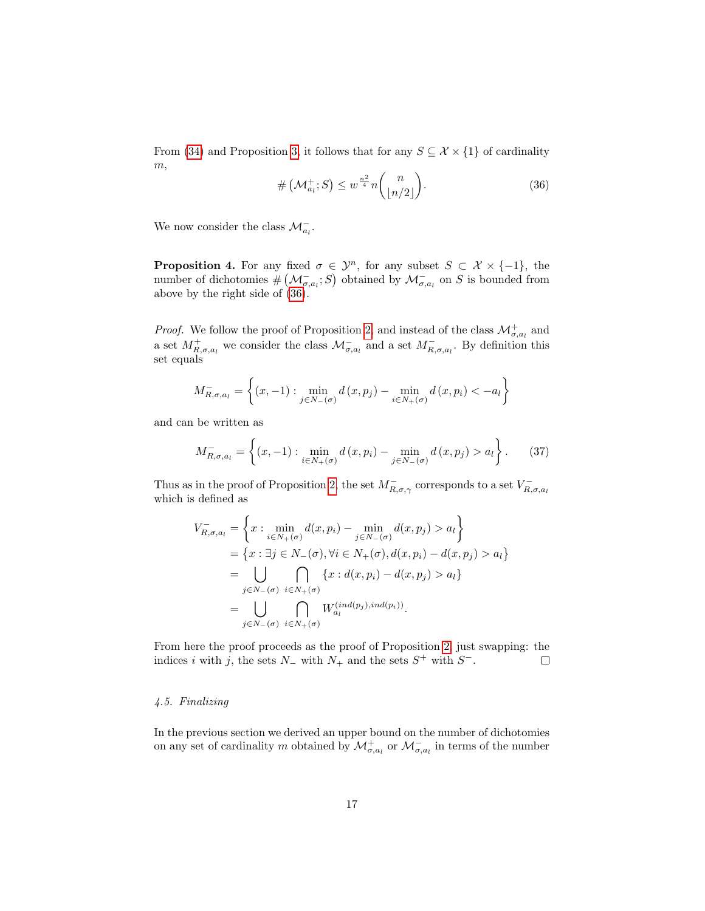From [\(34\)](#page-16-2) and Proposition [3,](#page-16-3) it follows that for any  $S \subseteq \mathcal{X} \times \{1\}$  of cardinality  $m,$ 

<span id="page-17-0"></span>
$$
\# \left( \mathcal{M}_{a_l}^+; S \right) \le w^{\frac{n^2}{4}} n \binom{n}{\lfloor n/2 \rfloor}.
$$
\n(36)

We now consider the class  $\mathcal{M}_{a_l}^-$ .

**Proposition 4.** For any fixed  $\sigma \in \mathcal{Y}^n$ , for any subset  $S \subset \mathcal{X} \times \{-1\}$ , the number of dichotomies  $\#(\mathcal{M}_{\sigma,a_i}^{-}; S)$  obtained by  $\mathcal{M}_{\sigma,a_i}^{-}$  on S is bounded from above by the right side of [\(36\)](#page-17-0).

*Proof.* We follow the proof of Proposition [2,](#page-14-1) and instead of the class  $\mathcal{M}_{\sigma,a_i}^+$  and a set  $M^+_{R,\sigma,a_l}$  we consider the class  $\mathcal{M}^-_{\sigma,a_l}$  and a set  $M^-_{R,\sigma,a_l}$ . By definition this set equals

$$
M_{R,\sigma,a_l}^- = \left\{ (x, -1) : \min_{j \in N_-(\sigma)} d(x, p_j) - \min_{i \in N_+(\sigma)} d(x, p_i) < -a_l \right\}
$$

and can be written as

$$
M_{R,\sigma,a_l}^- = \left\{ (x, -1) : \min_{i \in N_+(\sigma)} d(x, p_i) - \min_{j \in N_-(\sigma)} d(x, p_j) > a_l \right\}.
$$
 (37)

Thus as in the proof of Proposition [2,](#page-14-1) the set  $M_{R,\sigma,\gamma}^-$  corresponds to a set  $V_{R,\sigma,a_l}^$ which is defined as

$$
V_{R,\sigma,a_l}^{-} = \left\{ x : \min_{i \in N_+(\sigma)} d(x, p_i) - \min_{j \in N_-(\sigma)} d(x, p_j) > a_l \right\}
$$
  
= 
$$
\left\{ x : \exists j \in N_-(\sigma), \forall i \in N_+(\sigma), d(x, p_i) - d(x, p_j) > a_l \right\}
$$
  
= 
$$
\bigcup_{j \in N_-(\sigma)} \bigcap_{i \in N_+(\sigma)} \left\{ x : d(x, p_i) - d(x, p_j) > a_l \right\}
$$
  
= 
$$
\bigcup_{j \in N_-(\sigma)} \bigcap_{i \in N_+(\sigma)} W_{a_l}^{(ind(p_j),ind(p_i))}.
$$

From here the proof proceeds as the proof of Proposition [2,](#page-14-1) just swapping: the indices i with j, the sets  $N_$  with  $N_+$  and the sets  $S^+$  with  $S^-$ .  $\Box$ 

#### 4.5. Finalizing

In the previous section we derived an upper bound on the number of dichotomies on any set of cardinality m obtained by  $\mathcal{M}^+_{\sigma,a_l}$  or  $\mathcal{M}^-_{\sigma,a_l}$  in terms of the number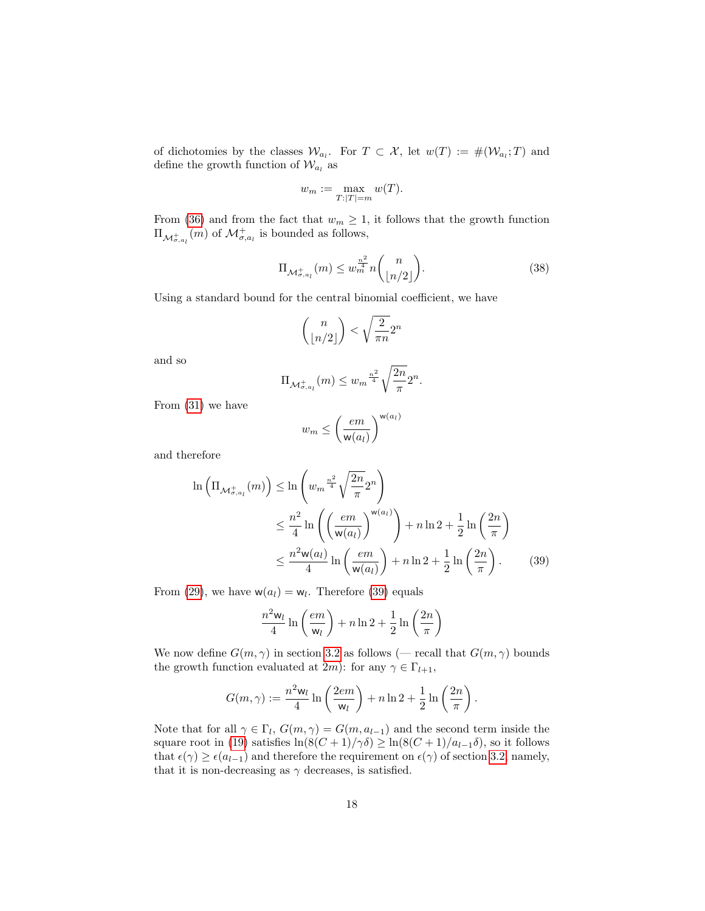of dichotomies by the classes  $\mathcal{W}_{a_l}$ . For  $T \subset \mathcal{X}$ , let  $w(T) := \#(\mathcal{W}_{a_l}; T)$  and define the growth function of  $\mathcal{W}_{a_l}$  as

$$
w_m := \max_{T:|T|=m} w(T).
$$

From [\(36\)](#page-17-0) and from the fact that  $w_m \geq 1$ , it follows that the growth function  $\Pi_{\mathcal{M}_{\sigma,a_l}^+}(m)$  of  $\mathcal{M}_{\sigma,a_l}^+$  is bounded as follows,

$$
\Pi_{\mathcal{M}_{\sigma,a_l}^+(m)} \le w_m^{\frac{n^2}{4}} n \binom{n}{\lfloor n/2 \rfloor}.
$$
\n(38)

Using a standard bound for the central binomial coefficient, we have

$$
\binom{n}{\lfloor n/2\rfloor}<\sqrt{\frac{2}{\pi n}}2^n
$$

and so

$$
\Pi_{\mathcal{M}_{\sigma,a_l}^+}(m)\leq w_m^{\frac{n^2}{4}}\sqrt{\frac{2n}{\pi}}2^n.
$$

From [\(31\)](#page-14-2) we have

<span id="page-18-0"></span>
$$
w_m \leq \left(\frac{em}{\mathsf{w}(a_l)}\right)^{\mathsf{w}(a_l)}
$$

and therefore

$$
\ln\left(\Pi_{\mathcal{M}_{\sigma,a_l}^+(m)}\right) \le \ln\left(w_m^{\frac{n^2}{4}}\sqrt{\frac{2n}{\pi}}2^n\right)
$$
  

$$
\le \frac{n^2}{4}\ln\left(\left(\frac{em}{\mathsf{w}(a_l)}\right)^{\mathsf{w}(a_l)}\right) + n\ln 2 + \frac{1}{2}\ln\left(\frac{2n}{\pi}\right)
$$
  

$$
\le \frac{n^2\mathsf{w}(a_l)}{4}\ln\left(\frac{em}{\mathsf{w}(a_l)}\right) + n\ln 2 + \frac{1}{2}\ln\left(\frac{2n}{\pi}\right).
$$
 (39)

From [\(29\)](#page-13-0), we have  $w(a_l) = w_l$ . Therefore [\(39\)](#page-18-0) equals

$$
\frac{n^2 \mathsf{w}_l}{4} \ln \left( \frac{em}{\mathsf{w}_l} \right) + n \ln 2 + \frac{1}{2} \ln \left( \frac{2n}{\pi} \right)
$$

We now define  $G(m, \gamma)$  in section [3.2](#page-9-3) as follows (— recall that  $G(m, \gamma)$  bounds the growth function evaluated at 2m): for any  $\gamma \in \Gamma_{l+1}$ ,

$$
G(m, \gamma) := \frac{n^2 w_l}{4} \ln \left( \frac{2e m}{w_l} \right) + n \ln 2 + \frac{1}{2} \ln \left( \frac{2n}{\pi} \right).
$$

Note that for all  $\gamma \in \Gamma_l$ ,  $G(m, \gamma) = G(m, a_{l-1})$  and the second term inside the square root in [\(19\)](#page-10-0) satisfies  $\ln(8(C+1)/\gamma\delta) \ge \ln(8(C+1)/a_{l-1}\delta)$ , so it follows that  $\epsilon(\gamma) \geq \epsilon(a_{l-1})$  and therefore the requirement on  $\epsilon(\gamma)$  of section [3.2,](#page-9-3) namely, that it is non-decreasing as  $\gamma$  decreases, is satisfied.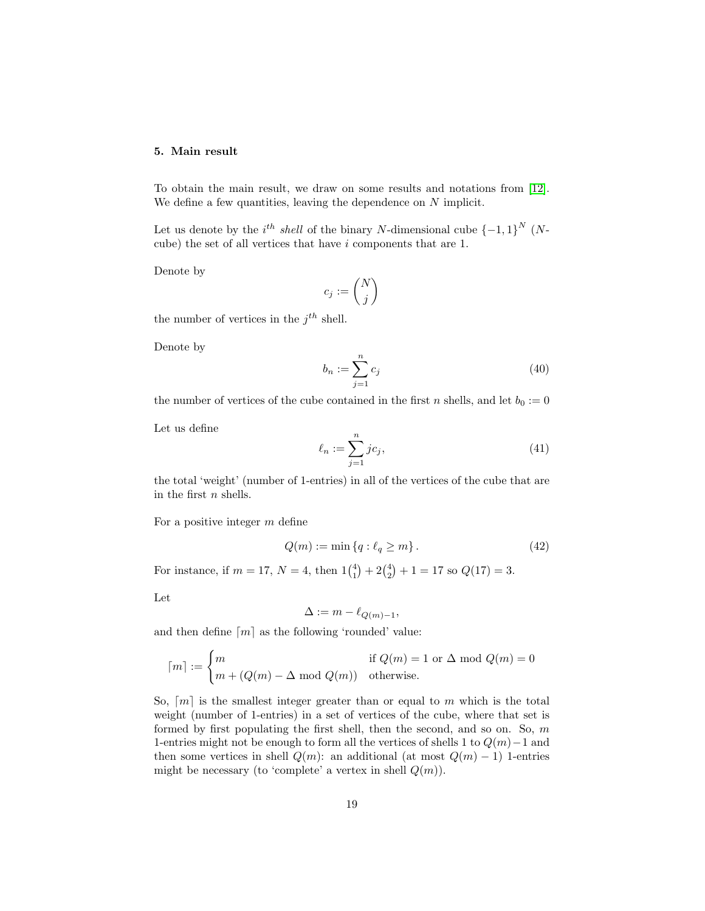#### <span id="page-19-0"></span>5. Main result

To obtain the main result, we draw on some results and notations from [\[12\]](#page-24-5). We define a few quantities, leaving the dependence on N implicit.

Let us denote by the  $i^{th}$  shell of the binary N-dimensional cube  ${-1, 1}^N$  (Ncube) the set of all vertices that have  $i$  components that are 1.

Denote by

$$
c_j:=\binom{N}{j}
$$

the number of vertices in the  $j^{th}$  shell.

Denote by

$$
b_n := \sum_{j=1}^n c_j \tag{40}
$$

the number of vertices of the cube contained in the first n shells, and let  $b_0 := 0$ 

Let us define

$$
\ell_n := \sum_{j=1}^n j c_j,\tag{41}
$$

the total 'weight' (number of 1-entries) in all of the vertices of the cube that are in the first  $n$  shells.

For a positive integer m define

$$
Q(m) := \min\left\{q : \ell_q \ge m\right\}.
$$
\n
$$
(42)
$$

For instance, if  $m = 17$ ,  $N = 4$ , then  $1\binom{4}{1} + 2\binom{4}{2} + 1 = 17$  so  $Q(17) = 3$ .

Let

$$
\Delta := m - \ell_{Q(m)-1},
$$

and then define  $\lceil m \rceil$  as the following 'rounded' value:

$$
\lceil m \rceil := \begin{cases} m & \text{if } Q(m) = 1 \text{ or } \Delta \text{ mod } Q(m) = 0\\ m + (Q(m) - \Delta \text{ mod } Q(m)) & \text{otherwise.} \end{cases}
$$

So,  $[m]$  is the smallest integer greater than or equal to m which is the total weight (number of 1-entries) in a set of vertices of the cube, where that set is formed by first populating the first shell, then the second, and so on. So,  $m$ 1-entries might not be enough to form all the vertices of shells 1 to  $Q(m)-1$  and then some vertices in shell  $Q(m)$ : an additional (at most  $Q(m) - 1$ ) 1-entries might be necessary (to 'complete' a vertex in shell  $Q(m)$ ).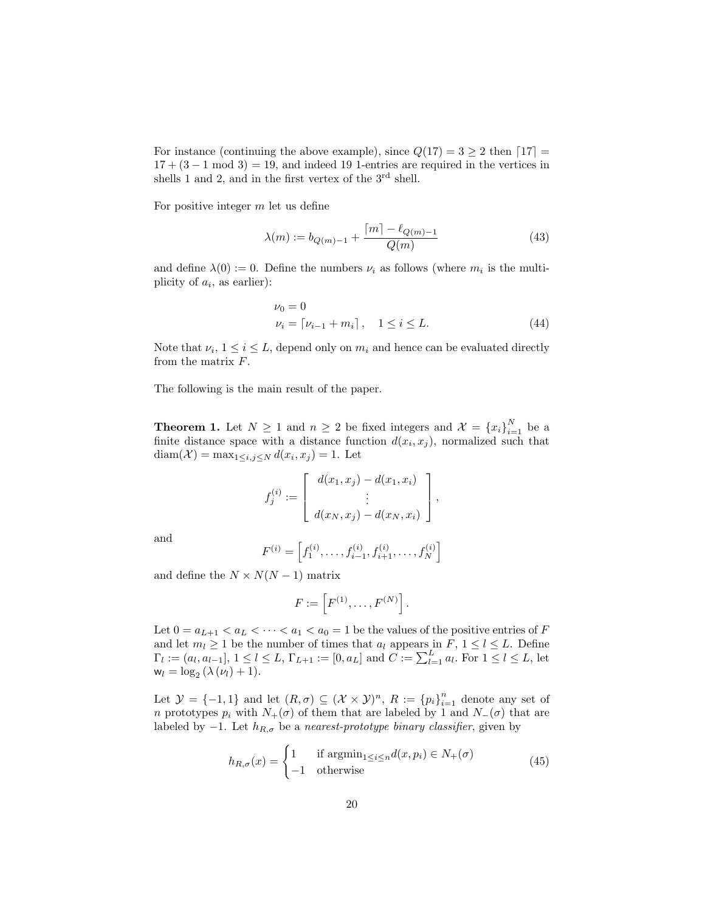For instance (continuing the above example), since  $Q(17) = 3 \ge 2$  then  $\lceil 17 \rceil =$  $17 + (3 - 1 \mod 3) = 19$ , and indeed 19 1-entries are required in the vertices in shells 1 and 2, and in the first vertex of the  $3<sup>rd</sup>$  shell.

For positive integer  $m$  let us define

$$
\lambda(m) := b_{Q(m)-1} + \frac{\lceil m \rceil - \ell_{Q(m)-1}}{Q(m)} \tag{43}
$$

and define  $\lambda(0) := 0$ . Define the numbers  $\nu_i$  as follows (where  $m_i$  is the multiplicity of  $a_i$ , as earlier):

$$
\nu_0 = 0
$$
  
\n
$$
\nu_i = \lceil \nu_{i-1} + m_i \rceil, \quad 1 \le i \le L. \tag{44}
$$

Note that  $\nu_i$ ,  $1 \leq i \leq L$ , depend only on  $m_i$  and hence can be evaluated directly from the matrix  $F$ .

<span id="page-20-0"></span>The following is the main result of the paper.

**Theorem 1.** Let  $N \geq 1$  and  $n \geq 2$  be fixed integers and  $\mathcal{X} = \{x_i\}_{i=1}^N$  be a finite distance space with a distance function  $d(x_i, x_j)$ , normalized such that  $\text{diam}(\mathcal{X}) = \max_{1 \leq i,j \leq N} d(x_i, x_j) = 1.$  Let

$$
f_j^{(i)} := \begin{bmatrix} d(x_1, x_j) - d(x_1, x_i) \\ \vdots \\ d(x_N, x_j) - d(x_N, x_i) \end{bmatrix},
$$

and

$$
F^{(i)} = \left[ f_1^{(i)}, \dots, f_{i-1}^{(i)}, f_{i+1}^{(i)}, \dots, f_N^{(i)} \right]
$$

and define the  $N \times N(N-1)$  matrix

$$
F:=\left[F^{(1)},\ldots,F^{(N)}\right].
$$

Let  $0 = a_{L+1} < a_L < \cdots < a_1 < a_0 = 1$  be the values of the positive entries of F and let  $m_l \geq 1$  be the number of times that  $a_l$  appears in  $F$ ,  $1 \leq l \leq L$ . Define  $\Gamma_l := (a_l, a_{l-1}], 1 \leq l \leq L, \Gamma_{L+1} := [0, a_L]$  and  $C := \sum_{l=1}^L a_l$ . For  $1 \leq l \leq L$ , let  $w_l = \log_2 (\lambda (\nu_l) + 1).$ 

Let  $\mathcal{Y} = \{-1,1\}$  and let  $(R,\sigma) \subseteq (\mathcal{X} \times \mathcal{Y})^n$ ,  $R := \{p_i\}_{i=1}^n$  denote any set of n prototypes  $p_i$  with  $N_+(\sigma)$  of them that are labeled by 1 and  $N_-(\sigma)$  that are labeled by −1. Let  $h_{R,\sigma}$  be a nearest-prototype binary classifier, given by

$$
h_{R,\sigma}(x) = \begin{cases} 1 & \text{if } \operatorname{argmin}_{1 \le i \le n} d(x, p_i) \in N_+(\sigma) \\ -1 & \text{otherwise} \end{cases}
$$
(45)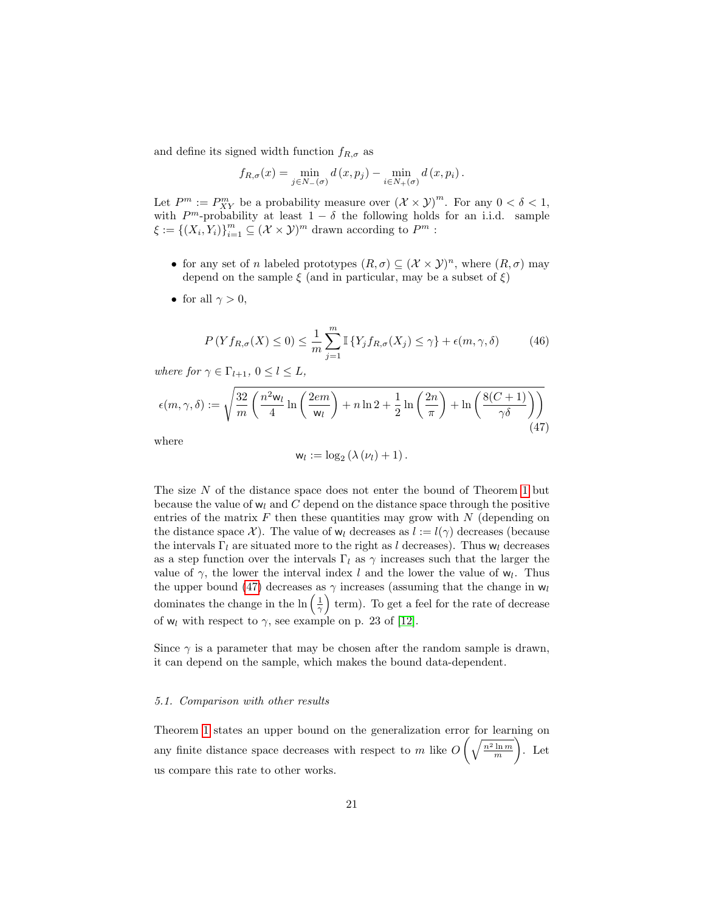and define its signed width function  $f_{R,\sigma}$  as

$$
f_{R,\sigma}(x) = \min_{j \in N_{-}(\sigma)} d(x, p_j) - \min_{i \in N_{+}(\sigma)} d(x, p_i).
$$

Let  $P^m := P_{XY}^m$  be a probability measure over  $(\mathcal{X} \times \mathcal{Y})^m$ . For any  $0 < \delta < 1$ , with  $P^m$ -probability at least  $1 - \delta$  the following holds for an i.i.d. sample  $\xi := \{(X_i, Y_i)\}_{i=1}^m \subseteq (\mathcal{X} \times \mathcal{Y})^m$  drawn according to  $P^m$ :

- for any set of n labeled prototypes  $(R,\sigma) \subseteq (\mathcal{X} \times \mathcal{Y})^n$ , where  $(R,\sigma)$  may depend on the sample  $\xi$  (and in particular, may be a subset of  $\xi$ )
- for all  $\gamma > 0$ ,

$$
P(Yf_{R,\sigma}(X)\leq 0) \leq \frac{1}{m}\sum_{j=1}^{m} \mathbb{I}\left\{Y_jf_{R,\sigma}(X_j)\leq \gamma\right\} + \epsilon(m,\gamma,\delta) \tag{46}
$$

where for  $\gamma \in \Gamma_{l+1}$ ,  $0 \leq l \leq L$ ,

<span id="page-21-0"></span>
$$
\epsilon(m,\gamma,\delta) := \sqrt{\frac{32}{m} \left( \frac{n^2 \mathsf{w}_l}{4} \ln \left( \frac{2em}{\mathsf{w}_l} \right) + n \ln 2 + \frac{1}{2} \ln \left( \frac{2n}{\pi} \right) + \ln \left( \frac{8(C+1)}{\gamma \delta} \right) \right)}
$$
(47)

where

$$
w_l := \log_2 (\lambda (\nu_l) + 1).
$$

The size N of the distance space does not enter the bound of Theorem [1](#page-20-0) but because the value of  $w_l$  and C depend on the distance space through the positive entries of the matrix  $F$  then these quantities may grow with  $N$  (depending on the distance space X). The value of  $w_l$  decreases as  $l := l(\gamma)$  decreases (because the intervals  $\Gamma_l$  are situated more to the right as l decreases). Thus  $w_l$  decreases as a step function over the intervals  $\Gamma_l$  as  $\gamma$  increases such that the larger the value of  $\gamma$ , the lower the interval index l and the lower the value of  $w_l$ . Thus the upper bound [\(47\)](#page-21-0) decreases as  $\gamma$  increases (assuming that the change in  $w_l$ dominates the change in the  $\ln\left(\frac{1}{\gamma}\right)$  term). To get a feel for the rate of decrease of  $w_l$  with respect to  $\gamma$ , see example on p. 23 of [\[12\]](#page-24-5).

Since  $\gamma$  is a parameter that may be chosen after the random sample is drawn, it can depend on the sample, which makes the bound data-dependent.

#### 5.1. Comparison with other results

Theorem [1](#page-20-0) states an upper bound on the generalization error for learning on any finite distance space decreases with respect to m like  $O\left(\sqrt{\frac{n^2 \ln m}{m}}\right)$  . Let us compare this rate to other works.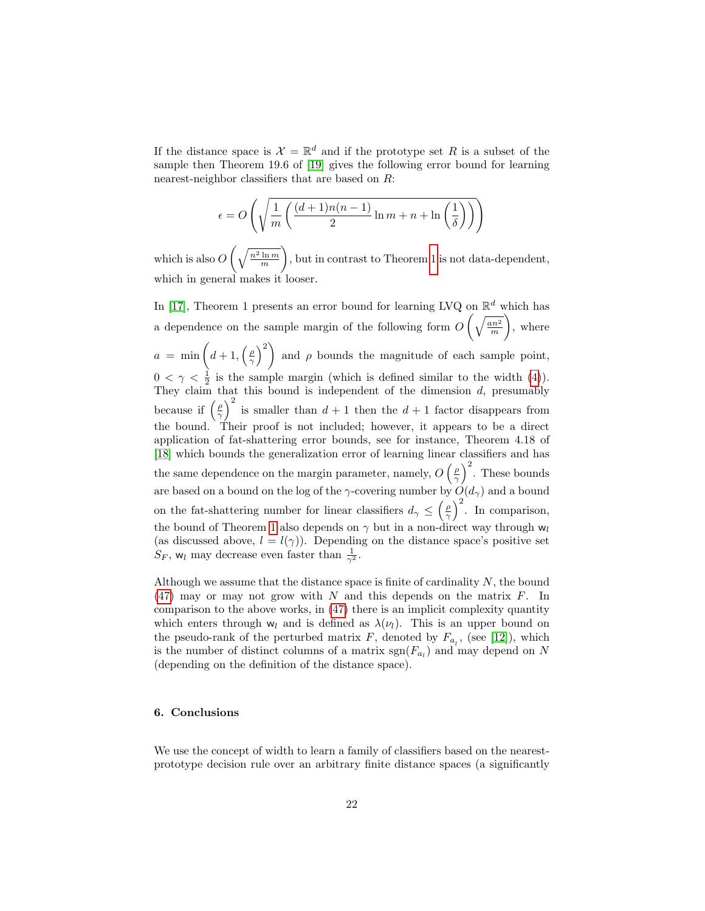If the distance space is  $\mathcal{X} = \mathbb{R}^d$  and if the prototype set R is a subset of the sample then Theorem 19.6 of [\[19\]](#page-24-8) gives the following error bound for learning nearest-neighbor classifiers that are based on R:

$$
\epsilon = O\left(\sqrt{\frac{1}{m} \left(\frac{(d+1)n(n-1)}{2} \ln m + n + \ln\left(\frac{1}{\delta}\right)}\right)}\right)
$$

which is also  $O\left(\sqrt{\frac{n^2\ln m}{m}}\right)$  , but in contrast to Theorem [1](#page-20-0) is not data-dependent, which in general makes it looser.

In [\[17\]](#page-24-11), Theorem 1 presents an error bound for learning LVQ on  $\mathbb{R}^d$  which has a dependence on the sample margin of the following form  $O\left(\sqrt{\frac{an^2}{m}}\right)$  , where  $a = \min\left(d+1, \left(\frac{\rho}{\gamma}\right)^2\right)$  and  $\rho$  bounds the magnitude of each sample point,  $0 < \gamma < \frac{1}{2}$  is the sample margin (which is defined similar to the width [\(4\)](#page-5-0)). They claim that this bound is independent of the dimension  $d$ , presumably because if  $\left(\frac{\rho}{\gamma}\right)^2$  is smaller than  $d+1$  then the  $d+1$  factor disappears from the bound. Their proof is not included; however, it appears to be a direct application of fat-shattering error bounds, see for instance, Theorem 4.18 of [\[18\]](#page-24-12) which bounds the generalization error of learning linear classifiers and has the same dependence on the margin parameter, namely,  $O\left(\frac{\rho}{\gamma}\right)^2$ . These bounds are based on a bound on the log of the  $\gamma$ -covering number by  $O(d_{\gamma})$  and a bound on the fat-shattering number for linear classifiers  $d_{\gamma} \leq (\frac{\rho}{\gamma})^2$ . In comparison, the bound of Theorem [1](#page-20-0) also depends on  $\gamma$  but in a non-direct way through  $w_l$ (as discussed above,  $l = l(\gamma)$ ). Depending on the distance space's positive set  $S_F$ , w<sub>l</sub> may decrease even faster than  $\frac{1}{\gamma^2}$ .

Although we assume that the distance space is finite of cardinality  $N$ , the bound  $(47)$  may or may not grow with N and this depends on the matrix F. In comparison to the above works, in [\(47\)](#page-21-0) there is an implicit complexity quantity which enters through  $w_l$  and is defined as  $\lambda(\nu_l)$ . This is an upper bound on the pseudo-rank of the perturbed matrix  $F$ , denoted by  $F_{a_i}$ , (see [\[12\]](#page-24-5)), which is the number of distinct columns of a matrix  $sgn(F_{a_l})$  and may depend on N (depending on the definition of the distance space).

#### 6. Conclusions

We use the concept of width to learn a family of classifiers based on the nearestprototype decision rule over an arbitrary finite distance spaces (a significantly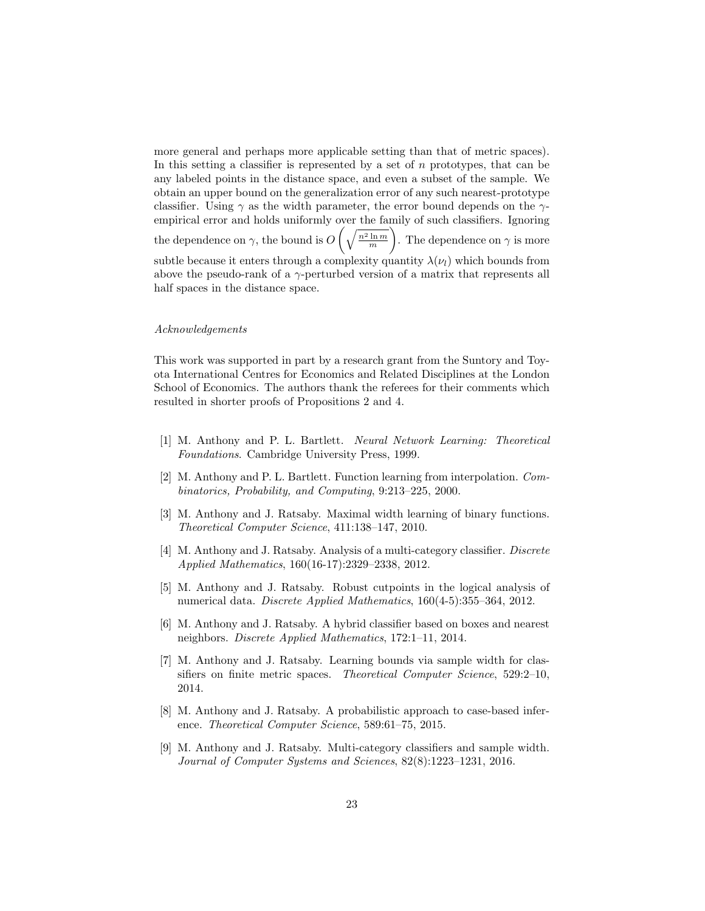more general and perhaps more applicable setting than that of metric spaces). In this setting a classifier is represented by a set of  $n$  prototypes, that can be any labeled points in the distance space, and even a subset of the sample. We obtain an upper bound on the generalization error of any such nearest-prototype classifier. Using  $\gamma$  as the width parameter, the error bound depends on the  $\gamma$ empirical error and holds uniformly over the family of such classifiers. Ignoring the dependence on  $\gamma$ , the bound is  $O\left(\sqrt{\frac{n^2 \ln m}{m}}\right)$ ). The dependence on  $\gamma$  is more subtle because it enters through a complexity quantity  $\lambda(\nu_l)$  which bounds from above the pseudo-rank of a  $\gamma$ -perturbed version of a matrix that represents all half spaces in the distance space.

#### Acknowledgements

This work was supported in part by a research grant from the Suntory and Toyota International Centres for Economics and Related Disciplines at the London School of Economics. The authors thank the referees for their comments which resulted in shorter proofs of Propositions 2 and 4.

- <span id="page-23-0"></span>[1] M. Anthony and P. L. Bartlett. Neural Network Learning: Theoretical Foundations. Cambridge University Press, 1999.
- <span id="page-23-3"></span>[2] M. Anthony and P. L. Bartlett. Function learning from interpolation. Combinatorics, Probability, and Computing, 9:213–225, 2000.
- <span id="page-23-1"></span>[3] M. Anthony and J. Ratsaby. Maximal width learning of binary functions. Theoretical Computer Science, 411:138–147, 2010.
- <span id="page-23-2"></span>[4] M. Anthony and J. Ratsaby. Analysis of a multi-category classifier. Discrete Applied Mathematics, 160(16-17):2329–2338, 2012.
- [5] M. Anthony and J. Ratsaby. Robust cutpoints in the logical analysis of numerical data. Discrete Applied Mathematics, 160(4-5):355–364, 2012.
- <span id="page-23-5"></span>[6] M. Anthony and J. Ratsaby. A hybrid classifier based on boxes and nearest neighbors. Discrete Applied Mathematics, 172:1–11, 2014.
- <span id="page-23-4"></span>[7] M. Anthony and J. Ratsaby. Learning bounds via sample width for classifiers on finite metric spaces. Theoretical Computer Science, 529:2–10, 2014.
- [8] M. Anthony and J. Ratsaby. A probabilistic approach to case-based inference. Theoretical Computer Science, 589:61–75, 2015.
- <span id="page-23-6"></span>[9] M. Anthony and J. Ratsaby. Multi-category classifiers and sample width. Journal of Computer Systems and Sciences, 82(8):1223–1231, 2016.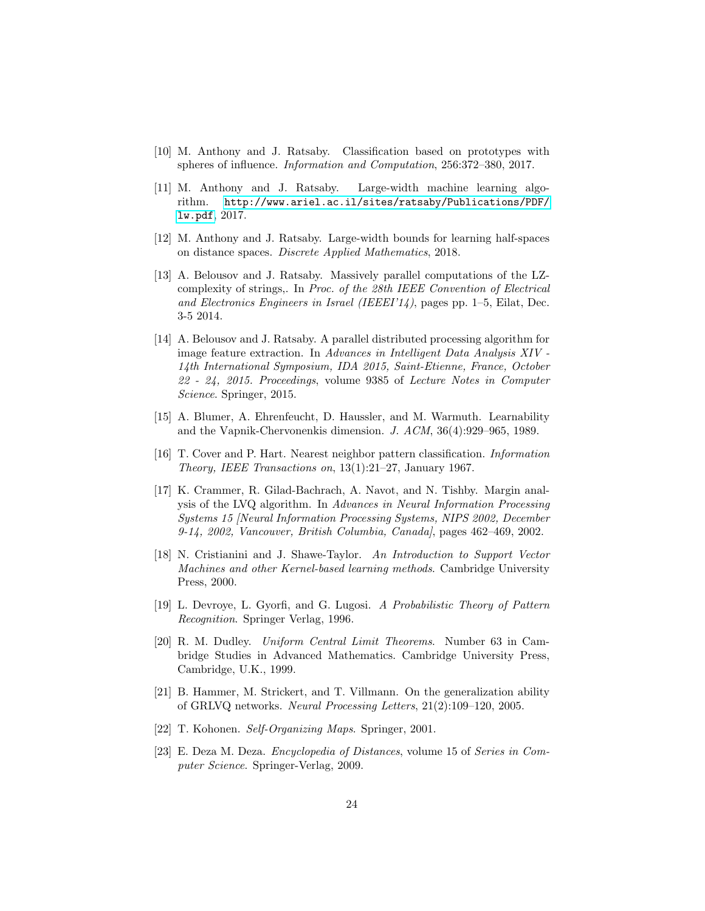- <span id="page-24-3"></span>[10] M. Anthony and J. Ratsaby. Classification based on prototypes with spheres of influence. Information and Computation, 256:372–380, 2017.
- [11] M. Anthony and J. Ratsaby. Large-width machine learning algorithm. [http://www.ariel.ac.il/sites/ratsaby/Publications/PDF/](http://www.ariel.ac.il/sites/ratsaby/Publications/PDF/lw.pdf) [lw.pdf](http://www.ariel.ac.il/sites/ratsaby/Publications/PDF/lw.pdf), 2017.
- <span id="page-24-5"></span>[12] M. Anthony and J. Ratsaby. Large-width bounds for learning half-spaces on distance spaces. Discrete Applied Mathematics, 2018.
- <span id="page-24-6"></span>[13] A. Belousov and J. Ratsaby. Massively parallel computations of the LZcomplexity of strings,. In Proc. of the 28th IEEE Convention of Electrical and Electronics Engineers in Israel (IEEEI'14), pages pp. 1–5, Eilat, Dec. 3-5 2014.
- <span id="page-24-7"></span>[14] A. Belousov and J. Ratsaby. A parallel distributed processing algorithm for image feature extraction. In Advances in Intelligent Data Analysis XIV - 14th International Symposium, IDA 2015, Saint-Etienne, France, October 22 - 24, 2015. Proceedings, volume 9385 of Lecture Notes in Computer Science. Springer, 2015.
- <span id="page-24-9"></span>[15] A. Blumer, A. Ehrenfeucht, D. Haussler, and M. Warmuth. Learnability and the Vapnik-Chervonenkis dimension. J. ACM, 36(4):929–965, 1989.
- <span id="page-24-4"></span>[16] T. Cover and P. Hart. Nearest neighbor pattern classification. Information Theory, IEEE Transactions on, 13(1):21–27, January 1967.
- <span id="page-24-11"></span>[17] K. Crammer, R. Gilad-Bachrach, A. Navot, and N. Tishby. Margin analysis of the LVQ algorithm. In Advances in Neural Information Processing Systems 15 [Neural Information Processing Systems, NIPS 2002, December 9-14, 2002, Vancouver, British Columbia, Canada], pages 462–469, 2002.
- <span id="page-24-12"></span>[18] N. Cristianini and J. Shawe-Taylor. An Introduction to Support Vector Machines and other Kernel-based learning methods. Cambridge University Press, 2000.
- <span id="page-24-8"></span>[19] L. Devroye, L. Gyorfi, and G. Lugosi. A Probabilistic Theory of Pattern Recognition. Springer Verlag, 1996.
- <span id="page-24-10"></span>[20] R. M. Dudley. Uniform Central Limit Theorems. Number 63 in Cambridge Studies in Advanced Mathematics. Cambridge University Press, Cambridge, U.K., 1999.
- <span id="page-24-1"></span>[21] B. Hammer, M. Strickert, and T. Villmann. On the generalization ability of GRLVQ networks. Neural Processing Letters, 21(2):109–120, 2005.
- <span id="page-24-0"></span>[22] T. Kohonen. Self-Organizing Maps. Springer, 2001.
- <span id="page-24-2"></span>[23] E. Deza M. Deza. Encyclopedia of Distances, volume 15 of Series in Computer Science. Springer-Verlag, 2009.